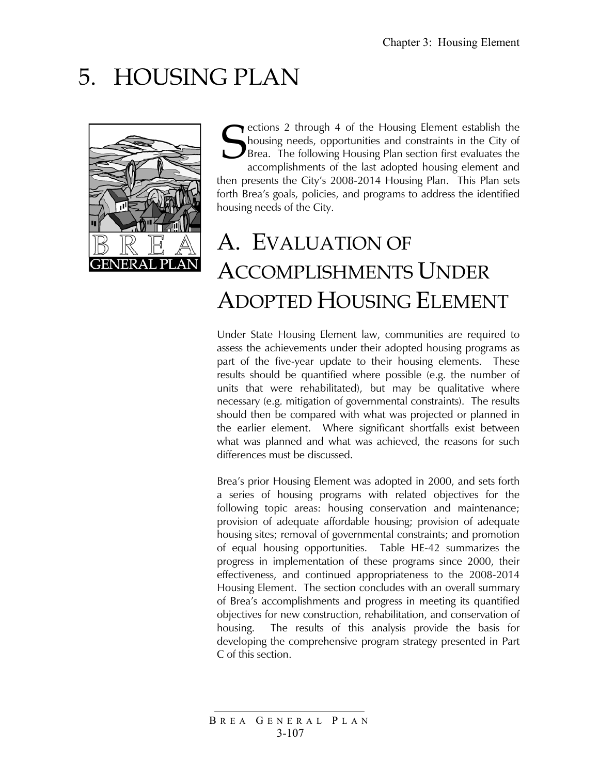# 5. HOUSING PLAN



ections 2 through 4 of the Housing Element establish the housing needs, opportunities and constraints in the City of Brea. The following Housing Plan section first evaluates the accomplishments of the last adopted housing element and then presents the City's 2008-2014 Housing Plan. This Plan sets forth Brea's goals, policies, and programs to address the identified housing needs of the City. S

# A. EVALUATION OF ACCOMPLISHMENTS UNDER ADOPTED HOUSING ELEMENT

Under State Housing Element law, communities are required to assess the achievements under their adopted housing programs as part of the five-year update to their housing elements. These results should be quantified where possible (e.g. the number of units that were rehabilitated), but may be qualitative where necessary (e.g. mitigation of governmental constraints). The results should then be compared with what was projected or planned in the earlier element. Where significant shortfalls exist between what was planned and what was achieved, the reasons for such differences must be discussed.

Brea's prior Housing Element was adopted in 2000, and sets forth a series of housing programs with related objectives for the following topic areas: housing conservation and maintenance; provision of adequate affordable housing; provision of adequate housing sites; removal of governmental constraints; and promotion of equal housing opportunities. Table HE-42 summarizes the progress in implementation of these programs since 2000, their effectiveness, and continued appropriateness to the 2008-2014 Housing Element. The section concludes with an overall summary of Brea's accomplishments and progress in meeting its quantified objectives for new construction, rehabilitation, and conservation of housing. The results of this analysis provide the basis for developing the comprehensive program strategy presented in Part C of this section.

B REA G ENERAL P LAN 3-107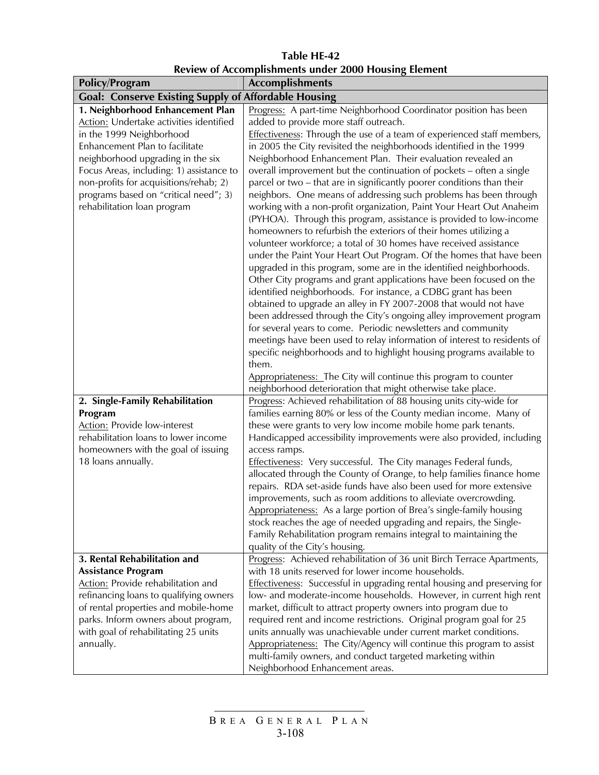**Table HE-42 Review of Accomplishments under 2000 Housing Element** 

| <b>Policy/Program</b>                                                                                                                                                                                                                                                                                                                        | <b>Accomplishments</b>                                                                                                                                                                                                                                                                                                                                                                                                                                                                                                                                                                                                                                                                                                                                                                                                                                                                                                                                                                                                                                                                                                                                                                                                                                                                                                                                                                                                                                                                                                                                                      |
|----------------------------------------------------------------------------------------------------------------------------------------------------------------------------------------------------------------------------------------------------------------------------------------------------------------------------------------------|-----------------------------------------------------------------------------------------------------------------------------------------------------------------------------------------------------------------------------------------------------------------------------------------------------------------------------------------------------------------------------------------------------------------------------------------------------------------------------------------------------------------------------------------------------------------------------------------------------------------------------------------------------------------------------------------------------------------------------------------------------------------------------------------------------------------------------------------------------------------------------------------------------------------------------------------------------------------------------------------------------------------------------------------------------------------------------------------------------------------------------------------------------------------------------------------------------------------------------------------------------------------------------------------------------------------------------------------------------------------------------------------------------------------------------------------------------------------------------------------------------------------------------------------------------------------------------|
| <b>Goal: Conserve Existing Supply of Affordable Housing</b>                                                                                                                                                                                                                                                                                  |                                                                                                                                                                                                                                                                                                                                                                                                                                                                                                                                                                                                                                                                                                                                                                                                                                                                                                                                                                                                                                                                                                                                                                                                                                                                                                                                                                                                                                                                                                                                                                             |
| 1. Neighborhood Enhancement Plan<br>Action: Undertake activities identified<br>in the 1999 Neighborhood<br>Enhancement Plan to facilitate<br>neighborhood upgrading in the six<br>Focus Areas, including: 1) assistance to<br>non-profits for acquisitions/rehab; 2)<br>programs based on "critical need"; 3)<br>rehabilitation loan program | Progress: A part-time Neighborhood Coordinator position has been<br>added to provide more staff outreach.<br>Effectiveness: Through the use of a team of experienced staff members,<br>in 2005 the City revisited the neighborhoods identified in the 1999<br>Neighborhood Enhancement Plan. Their evaluation revealed an<br>overall improvement but the continuation of pockets - often a single<br>parcel or two - that are in significantly poorer conditions than their<br>neighbors. One means of addressing such problems has been through<br>working with a non-profit organization, Paint Your Heart Out Anaheim<br>(PYHOA). Through this program, assistance is provided to low-income<br>homeowners to refurbish the exteriors of their homes utilizing a<br>volunteer workforce; a total of 30 homes have received assistance<br>under the Paint Your Heart Out Program. Of the homes that have been<br>upgraded in this program, some are in the identified neighborhoods.<br>Other City programs and grant applications have been focused on the<br>identified neighborhoods. For instance, a CDBG grant has been<br>obtained to upgrade an alley in FY 2007-2008 that would not have<br>been addressed through the City's ongoing alley improvement program<br>for several years to come. Periodic newsletters and community<br>meetings have been used to relay information of interest to residents of<br>specific neighborhoods and to highlight housing programs available to<br>them.<br>Appropriateness: The City will continue this program to counter |
| 2. Single-Family Rehabilitation<br>Program<br><b>Action:</b> Provide low-interest<br>rehabilitation loans to lower income<br>homeowners with the goal of issuing<br>18 loans annually.                                                                                                                                                       | neighborhood deterioration that might otherwise take place.<br>Progress: Achieved rehabilitation of 88 housing units city-wide for<br>families earning 80% or less of the County median income. Many of<br>these were grants to very low income mobile home park tenants.<br>Handicapped accessibility improvements were also provided, including<br>access ramps.<br>Effectiveness: Very successful. The City manages Federal funds,<br>allocated through the County of Orange, to help families finance home<br>repairs. RDA set-aside funds have also been used for more extensive<br>improvements, such as room additions to alleviate overcrowding.<br>Appropriateness: As a large portion of Brea's single-family housing<br>stock reaches the age of needed upgrading and repairs, the Single-<br>Family Rehabilitation program remains integral to maintaining the<br>quality of the City's housing.                                                                                                                                                                                                                                                                                                                                                                                                                                                                                                                                                                                                                                                                |
| 3. Rental Rehabilitation and<br><b>Assistance Program</b><br><b>Action:</b> Provide rehabilitation and<br>refinancing loans to qualifying owners<br>of rental properties and mobile-home<br>parks. Inform owners about program,<br>with goal of rehabilitating 25 units<br>annually.                                                         | Progress: Achieved rehabilitation of 36 unit Birch Terrace Apartments,<br>with 18 units reserved for lower income households.<br><b>Effectiveness:</b> Successful in upgrading rental housing and preserving for<br>low- and moderate-income households. However, in current high rent<br>market, difficult to attract property owners into program due to<br>required rent and income restrictions. Original program goal for 25<br>units annually was unachievable under current market conditions.<br>Appropriateness: The City/Agency will continue this program to assist<br>multi-family owners, and conduct targeted marketing within<br>Neighborhood Enhancement areas.                                                                                                                                                                                                                                                                                                                                                                                                                                                                                                                                                                                                                                                                                                                                                                                                                                                                                             |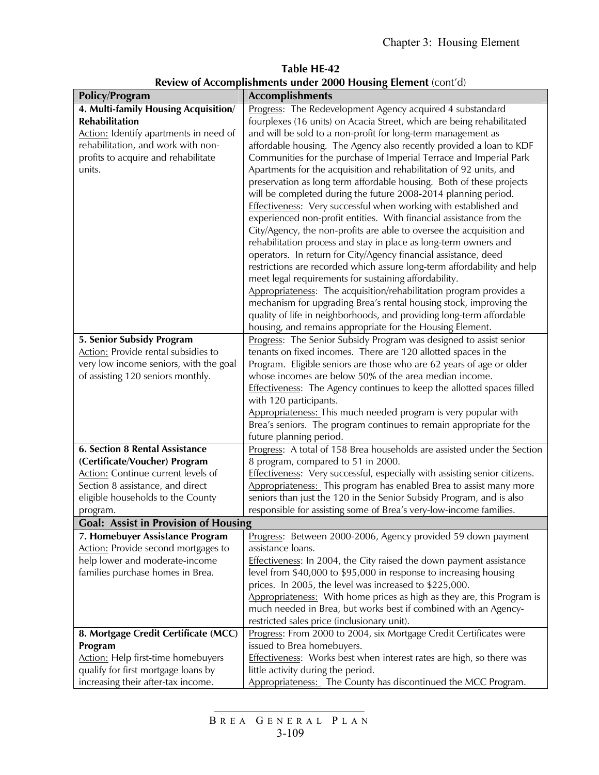**Table HE-42 Review of Accomplishments under 2000 Housing Element** (cont'd)

| <b>Policy/Program</b>                       | <b>Accomplishments</b>                                                                   |
|---------------------------------------------|------------------------------------------------------------------------------------------|
| 4. Multi-family Housing Acquisition/        | Progress: The Redevelopment Agency acquired 4 substandard                                |
| <b>Rehabilitation</b>                       | fourplexes (16 units) on Acacia Street, which are being rehabilitated                    |
| Action: Identify apartments in need of      | and will be sold to a non-profit for long-term management as                             |
| rehabilitation, and work with non-          | affordable housing. The Agency also recently provided a loan to KDF                      |
| profits to acquire and rehabilitate         | Communities for the purchase of Imperial Terrace and Imperial Park                       |
| units.                                      | Apartments for the acquisition and rehabilitation of 92 units, and                       |
|                                             | preservation as long term affordable housing. Both of these projects                     |
|                                             | will be completed during the future 2008-2014 planning period.                           |
|                                             | Effectiveness: Very successful when working with established and                         |
|                                             | experienced non-profit entities. With financial assistance from the                      |
|                                             | City/Agency, the non-profits are able to oversee the acquisition and                     |
|                                             | rehabilitation process and stay in place as long-term owners and                         |
|                                             | operators. In return for City/Agency financial assistance, deed                          |
|                                             | restrictions are recorded which assure long-term affordability and help                  |
|                                             | meet legal requirements for sustaining affordability.                                    |
|                                             | Appropriateness: The acquisition/rehabilitation program provides a                       |
|                                             | mechanism for upgrading Brea's rental housing stock, improving the                       |
|                                             | quality of life in neighborhoods, and providing long-term affordable                     |
|                                             | housing, and remains appropriate for the Housing Element.                                |
| 5. Senior Subsidy Program                   | Progress: The Senior Subsidy Program was designed to assist senior                       |
| Action: Provide rental subsidies to         | tenants on fixed incomes. There are 120 allotted spaces in the                           |
| very low income seniors, with the goal      | Program. Eligible seniors are those who are 62 years of age or older                     |
| of assisting 120 seniors monthly.           | whose incomes are below 50% of the area median income.                                   |
|                                             | Effectiveness: The Agency continues to keep the allotted spaces filled                   |
|                                             | with 120 participants.<br>Appropriateness: This much needed program is very popular with |
|                                             | Brea's seniors. The program continues to remain appropriate for the                      |
|                                             | future planning period.                                                                  |
| <b>6. Section 8 Rental Assistance</b>       | Progress: A total of 158 Brea households are assisted under the Section                  |
| (Certificate/Voucher) Program               | 8 program, compared to 51 in 2000.                                                       |
| Action: Continue current levels of          | Effectiveness: Very successful, especially with assisting senior citizens.               |
| Section 8 assistance, and direct            | Appropriateness: This program has enabled Brea to assist many more                       |
| eligible households to the County           | seniors than just the 120 in the Senior Subsidy Program, and is also                     |
| program.                                    | responsible for assisting some of Brea's very-low-income families.                       |
| <b>Goal: Assist in Provision of Housing</b> |                                                                                          |
| 7. Homebuyer Assistance Program             | Progress: Between 2000-2006, Agency provided 59 down payment                             |
| Action: Provide second mortgages to         | assistance loans.                                                                        |
| help lower and moderate-income              | Effectiveness: In 2004, the City raised the down payment assistance                      |
| families purchase homes in Brea.            | level from \$40,000 to \$95,000 in response to increasing housing                        |
|                                             | prices. In 2005, the level was increased to \$225,000.                                   |
|                                             | Appropriateness: With home prices as high as they are, this Program is                   |
|                                             | much needed in Brea, but works best if combined with an Agency-                          |
|                                             | restricted sales price (inclusionary unit).                                              |
| 8. Mortgage Credit Certificate (MCC)        | Progress: From 2000 to 2004, six Mortgage Credit Certificates were                       |
| Program                                     | issued to Brea homebuyers.                                                               |
| Action: Help first-time homebuyers          | Effectiveness: Works best when interest rates are high, so there was                     |
| qualify for first mortgage loans by         | little activity during the period.                                                       |
| increasing their after-tax income.          | Appropriateness: The County has discontinued the MCC Program.                            |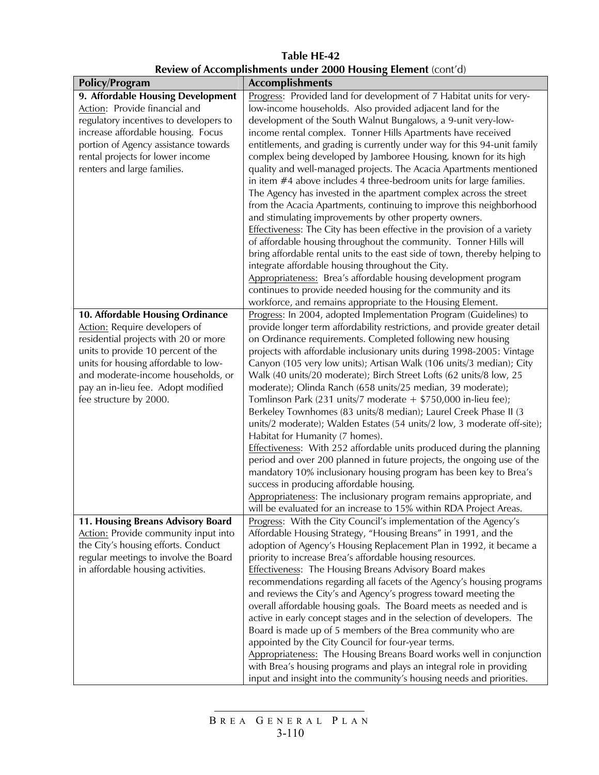#### **Table HE-42 Review of Accomplishments under 2000 Housing Element** (cont'd)

| Policy/Program                                                               | <b>Accomplishments</b>                                                                                                                       |
|------------------------------------------------------------------------------|----------------------------------------------------------------------------------------------------------------------------------------------|
| 9. Affordable Housing Development                                            | Progress: Provided land for development of 7 Habitat units for very-                                                                         |
| Action: Provide financial and                                                | low-income households. Also provided adjacent land for the                                                                                   |
| regulatory incentives to developers to<br>increase affordable housing. Focus | development of the South Walnut Bungalows, a 9-unit very-low-<br>income rental complex. Tonner Hills Apartments have received                |
| portion of Agency assistance towards                                         | entitlements, and grading is currently under way for this 94-unit family                                                                     |
| rental projects for lower income                                             | complex being developed by Jamboree Housing, known for its high                                                                              |
| renters and large families.                                                  | quality and well-managed projects. The Acacia Apartments mentioned                                                                           |
|                                                                              | in item #4 above includes 4 three-bedroom units for large families.                                                                          |
|                                                                              | The Agency has invested in the apartment complex across the street                                                                           |
|                                                                              | from the Acacia Apartments, continuing to improve this neighborhood                                                                          |
|                                                                              | and stimulating improvements by other property owners.                                                                                       |
|                                                                              | Effectiveness: The City has been effective in the provision of a variety                                                                     |
|                                                                              | of affordable housing throughout the community. Tonner Hills will                                                                            |
|                                                                              | bring affordable rental units to the east side of town, thereby helping to                                                                   |
|                                                                              | integrate affordable housing throughout the City.                                                                                            |
|                                                                              | Appropriateness: Brea's affordable housing development program                                                                               |
|                                                                              | continues to provide needed housing for the community and its                                                                                |
|                                                                              | workforce, and remains appropriate to the Housing Element.                                                                                   |
| 10. Affordable Housing Ordinance                                             | Progress: In 2004, adopted Implementation Program (Guidelines) to                                                                            |
| <b>Action:</b> Require developers of                                         | provide longer term affordability restrictions, and provide greater detail                                                                   |
| residential projects with 20 or more                                         | on Ordinance requirements. Completed following new housing                                                                                   |
| units to provide 10 percent of the                                           | projects with affordable inclusionary units during 1998-2005: Vintage                                                                        |
| units for housing affordable to low-                                         | Canyon (105 very low units); Artisan Walk (106 units/3 median); City                                                                         |
| and moderate-income households, or                                           | Walk (40 units/20 moderate); Birch Street Lofts (62 units/8 low, 25                                                                          |
| pay an in-lieu fee. Adopt modified                                           | moderate); Olinda Ranch (658 units/25 median, 39 moderate);                                                                                  |
| fee structure by 2000.                                                       | Tomlinson Park (231 units/7 moderate $+$ \$750,000 in-lieu fee);                                                                             |
|                                                                              | Berkeley Townhomes (83 units/8 median); Laurel Creek Phase II (3<br>units/2 moderate); Walden Estates (54 units/2 low, 3 moderate off-site); |
|                                                                              | Habitat for Humanity (7 homes).                                                                                                              |
|                                                                              | Effectiveness: With 252 affordable units produced during the planning                                                                        |
|                                                                              | period and over 200 planned in future projects, the ongoing use of the                                                                       |
|                                                                              | mandatory 10% inclusionary housing program has been key to Brea's                                                                            |
|                                                                              | success in producing affordable housing.                                                                                                     |
|                                                                              | Appropriateness: The inclusionary program remains appropriate, and                                                                           |
|                                                                              | will be evaluated for an increase to 15% within RDA Project Areas.                                                                           |
| <b>11. Housing Breans Advisory Board</b>                                     | Progress: With the City Council's implementation of the Agency's                                                                             |
| Action: Provide community input into                                         | Affordable Housing Strategy, "Housing Breans" in 1991, and the                                                                               |
| the City's housing efforts. Conduct                                          | adoption of Agency's Housing Replacement Plan in 1992, it became a                                                                           |
| regular meetings to involve the Board                                        | priority to increase Brea's affordable housing resources.                                                                                    |
| in affordable housing activities.                                            | <b>Effectiveness:</b> The Housing Breans Advisory Board makes                                                                                |
|                                                                              | recommendations regarding all facets of the Agency's housing programs                                                                        |
|                                                                              | and reviews the City's and Agency's progress toward meeting the                                                                              |
|                                                                              | overall affordable housing goals. The Board meets as needed and is                                                                           |
|                                                                              | active in early concept stages and in the selection of developers. The<br>Board is made up of 5 members of the Brea community who are        |
|                                                                              | appointed by the City Council for four-year terms.                                                                                           |
|                                                                              | Appropriateness: The Housing Breans Board works well in conjunction                                                                          |
|                                                                              | with Brea's housing programs and plays an integral role in providing                                                                         |
|                                                                              | input and insight into the community's housing needs and priorities.                                                                         |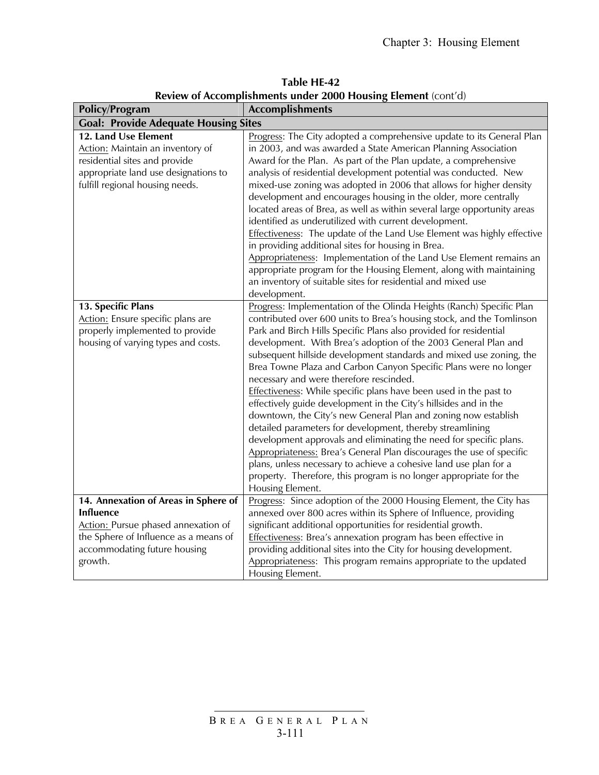| Table HE-42                                                   |  |
|---------------------------------------------------------------|--|
| Review of Accomplishments under 2000 Housing Element (cont'd) |  |

| <b>Policy/Program</b>                                                                                                                                                               | <b>Accomplishments</b>                                                                                                                                                                                                                                                                                                                                                                                                                                                                                                                                                                                                                                                                                                                                                                                                                                                                                                                                                                                                                                                          |  |  |  |  |
|-------------------------------------------------------------------------------------------------------------------------------------------------------------------------------------|---------------------------------------------------------------------------------------------------------------------------------------------------------------------------------------------------------------------------------------------------------------------------------------------------------------------------------------------------------------------------------------------------------------------------------------------------------------------------------------------------------------------------------------------------------------------------------------------------------------------------------------------------------------------------------------------------------------------------------------------------------------------------------------------------------------------------------------------------------------------------------------------------------------------------------------------------------------------------------------------------------------------------------------------------------------------------------|--|--|--|--|
| <b>Goal: Provide Adequate Housing Sites</b>                                                                                                                                         |                                                                                                                                                                                                                                                                                                                                                                                                                                                                                                                                                                                                                                                                                                                                                                                                                                                                                                                                                                                                                                                                                 |  |  |  |  |
| 12. Land Use Element<br>Action: Maintain an inventory of<br>residential sites and provide<br>appropriate land use designations to<br>fulfill regional housing needs.                | Progress: The City adopted a comprehensive update to its General Plan<br>in 2003, and was awarded a State American Planning Association<br>Award for the Plan. As part of the Plan update, a comprehensive<br>analysis of residential development potential was conducted. New<br>mixed-use zoning was adopted in 2006 that allows for higher density<br>development and encourages housing in the older, more centrally<br>located areas of Brea, as well as within several large opportunity areas<br>identified as underutilized with current development.<br>Effectiveness: The update of the Land Use Element was highly effective<br>in providing additional sites for housing in Brea.<br>Appropriateness: Implementation of the Land Use Element remains an<br>appropriate program for the Housing Element, along with maintaining<br>an inventory of suitable sites for residential and mixed use                                                                                                                                                                      |  |  |  |  |
| 13. Specific Plans<br>Action: Ensure specific plans are<br>properly implemented to provide<br>housing of varying types and costs.                                                   | development.<br>Progress: Implementation of the Olinda Heights (Ranch) Specific Plan<br>contributed over 600 units to Brea's housing stock, and the Tomlinson<br>Park and Birch Hills Specific Plans also provided for residential<br>development. With Brea's adoption of the 2003 General Plan and<br>subsequent hillside development standards and mixed use zoning, the<br>Brea Towne Plaza and Carbon Canyon Specific Plans were no longer<br>necessary and were therefore rescinded.<br>Effectiveness: While specific plans have been used in the past to<br>effectively guide development in the City's hillsides and in the<br>downtown, the City's new General Plan and zoning now establish<br>detailed parameters for development, thereby streamlining<br>development approvals and eliminating the need for specific plans.<br>Appropriateness: Brea's General Plan discourages the use of specific<br>plans, unless necessary to achieve a cohesive land use plan for a<br>property. Therefore, this program is no longer appropriate for the<br>Housing Element. |  |  |  |  |
| 14. Annexation of Areas in Sphere of<br><b>Influence</b><br>Action: Pursue phased annexation of<br>the Sphere of Influence as a means of<br>accommodating future housing<br>growth. | Progress: Since adoption of the 2000 Housing Element, the City has<br>annexed over 800 acres within its Sphere of Influence, providing<br>significant additional opportunities for residential growth.<br>Effectiveness: Brea's annexation program has been effective in<br>providing additional sites into the City for housing development.<br>Appropriateness: This program remains appropriate to the updated<br>Housing Element.                                                                                                                                                                                                                                                                                                                                                                                                                                                                                                                                                                                                                                           |  |  |  |  |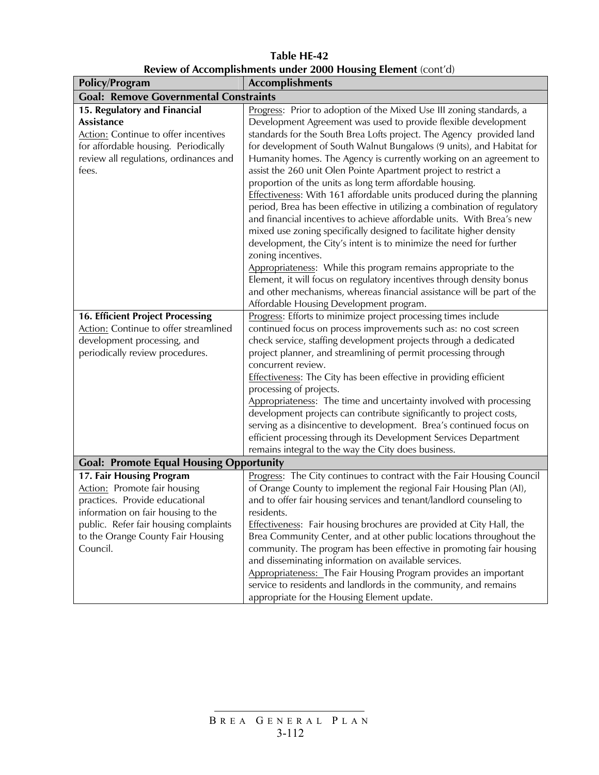**Table HE-42 Review of Accomplishments under 2000 Housing Element** (cont'd)

| <b>Policy/Program</b>                                                | <b>Accomplishments</b>                                                               |  |  |  |
|----------------------------------------------------------------------|--------------------------------------------------------------------------------------|--|--|--|
| <b>Goal: Remove Governmental Constraints</b>                         |                                                                                      |  |  |  |
| 15. Regulatory and Financial                                         | Progress: Prior to adoption of the Mixed Use III zoning standards, a                 |  |  |  |
| <b>Assistance</b>                                                    | Development Agreement was used to provide flexible development                       |  |  |  |
| Action: Continue to offer incentives                                 | standards for the South Brea Lofts project. The Agency provided land                 |  |  |  |
| for affordable housing. Periodically                                 | for development of South Walnut Bungalows (9 units), and Habitat for                 |  |  |  |
| review all regulations, ordinances and                               | Humanity homes. The Agency is currently working on an agreement to                   |  |  |  |
| fees.                                                                | assist the 260 unit Olen Pointe Apartment project to restrict a                      |  |  |  |
|                                                                      | proportion of the units as long term affordable housing.                             |  |  |  |
|                                                                      | Effectiveness: With 161 affordable units produced during the planning                |  |  |  |
|                                                                      | period, Brea has been effective in utilizing a combination of regulatory             |  |  |  |
|                                                                      | and financial incentives to achieve affordable units. With Brea's new                |  |  |  |
|                                                                      | mixed use zoning specifically designed to facilitate higher density                  |  |  |  |
|                                                                      | development, the City's intent is to minimize the need for further                   |  |  |  |
|                                                                      | zoning incentives.<br>Appropriateness: While this program remains appropriate to the |  |  |  |
|                                                                      | Element, it will focus on regulatory incentives through density bonus                |  |  |  |
|                                                                      | and other mechanisms, whereas financial assistance will be part of the               |  |  |  |
|                                                                      | Affordable Housing Development program.                                              |  |  |  |
| <b>16. Efficient Project Processing</b>                              | Progress: Efforts to minimize project processing times include                       |  |  |  |
| Action: Continue to offer streamlined                                | continued focus on process improvements such as: no cost screen                      |  |  |  |
| development processing, and                                          | check service, staffing development projects through a dedicated                     |  |  |  |
| periodically review procedures.                                      | project planner, and streamlining of permit processing through                       |  |  |  |
|                                                                      | concurrent review.                                                                   |  |  |  |
|                                                                      | Effectiveness: The City has been effective in providing efficient                    |  |  |  |
|                                                                      | processing of projects.                                                              |  |  |  |
|                                                                      | Appropriateness: The time and uncertainty involved with processing                   |  |  |  |
|                                                                      | development projects can contribute significantly to project costs,                  |  |  |  |
|                                                                      | serving as a disincentive to development. Brea's continued focus on                  |  |  |  |
|                                                                      | efficient processing through its Development Services Department                     |  |  |  |
|                                                                      | remains integral to the way the City does business.                                  |  |  |  |
| <b>Goal: Promote Equal Housing Opportunity</b>                       |                                                                                      |  |  |  |
| 17. Fair Housing Program                                             | Progress: The City continues to contract with the Fair Housing Council               |  |  |  |
| Action: Promote fair housing                                         | of Orange County to implement the regional Fair Housing Plan (AI),                   |  |  |  |
| practices. Provide educational<br>information on fair housing to the | and to offer fair housing services and tenant/landlord counseling to<br>residents.   |  |  |  |
| public. Refer fair housing complaints                                | Effectiveness: Fair housing brochures are provided at City Hall, the                 |  |  |  |
| to the Orange County Fair Housing                                    | Brea Community Center, and at other public locations throughout the                  |  |  |  |
| Council.                                                             | community. The program has been effective in promoting fair housing                  |  |  |  |
|                                                                      | and disseminating information on available services.                                 |  |  |  |
|                                                                      | Appropriateness: The Fair Housing Program provides an important                      |  |  |  |
|                                                                      | service to residents and landlords in the community, and remains                     |  |  |  |
|                                                                      | appropriate for the Housing Element update.                                          |  |  |  |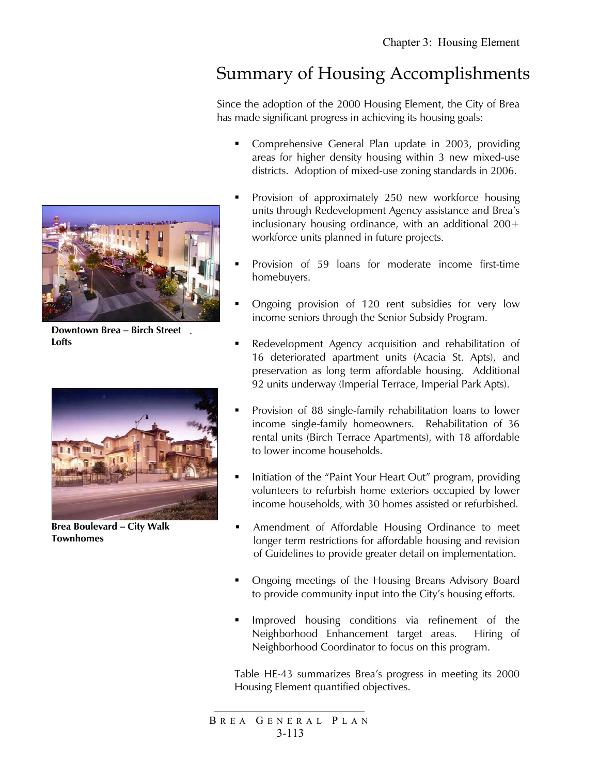# Summary of Housing Accomplishments

Since the adoption of the 2000 Housing Element, the City of Brea has made significant progress in achieving its housing goals:

- Comprehensive General Plan update in 2003, providing areas for higher density housing within 3 new mixed-use districts. Adoption of mixed-use zoning standards in 2006.
- **Provision of approximately 250 new workforce housing** units through Redevelopment Agency assistance and Brea's inclusionary housing ordinance, with an additional 200+ workforce units planned in future projects.
- Provision of 59 loans for moderate income first-time homebuyers.
- Ongoing provision of 120 rent subsidies for very low income seniors through the Senior Subsidy Program.
- Redevelopment Agency acquisition and rehabilitation of 16 deteriorated apartment units (Acacia St. Apts), and preservation as long term affordable housing. Additional 92 units underway (Imperial Terrace, Imperial Park Apts).
- **Provision of 88 single-family rehabilitation loans to lower** income single-family homeowners. Rehabilitation of 36 rental units (Birch Terrace Apartments), with 18 affordable to lower income households.
- Initiation of the "Paint Your Heart Out" program, providing volunteers to refurbish home exteriors occupied by lower income households, with 30 homes assisted or refurbished.
- **Amendment of Affordable Housing Ordinance to meet** longer term restrictions for affordable housing and revision of Guidelines to provide greater detail on implementation.
- Ongoing meetings of the Housing Breans Advisory Board to provide community input into the City's housing efforts.
- Improved housing conditions via refinement of the Neighborhood Enhancement target areas. Hiring of Neighborhood Coordinator to focus on this program.

Table HE-43 summarizes Brea's progress in meeting its 2000 Housing Element quantified objectives.

**Downtown Brea – Birch Street**  . **Lofts**



**Brea Boulevard – City Walk Townhomes** 

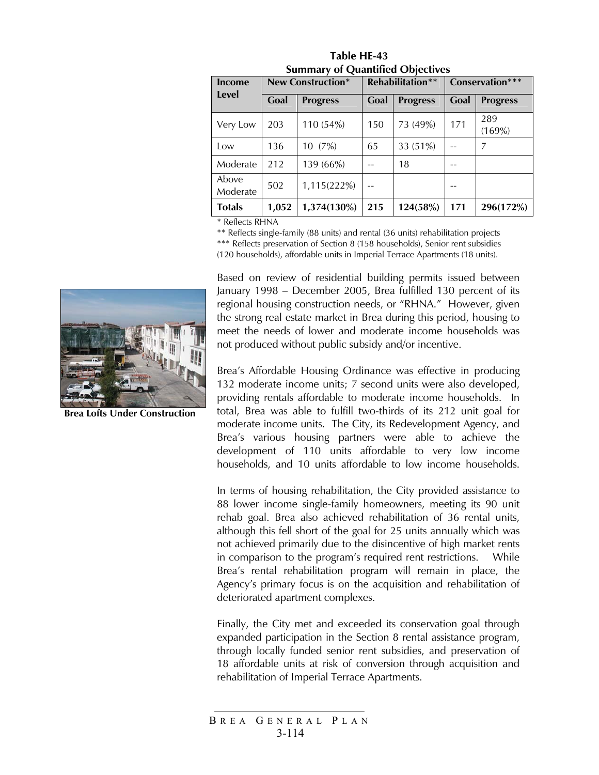| Income<br>Level   | <b>New Construction*</b> |                 | <b>Rehabilitation**</b> |                 | Conservation*** |                 |
|-------------------|--------------------------|-----------------|-------------------------|-----------------|-----------------|-----------------|
|                   | Goal                     | <b>Progress</b> | Goal                    | <b>Progress</b> | Goal            | <b>Progress</b> |
| Very Low          | 203                      | 110 (54%)       | 150                     | 73 (49%)        | 171             | 289<br>(169%)   |
| Low               | 136                      | 10(7%)          | 65                      | 33 (51%)        |                 | 7               |
| Moderate          | 212                      | 139 (66%)       |                         | 18              | --              |                 |
| Above<br>Moderate | 502                      | 1,115(222%)     |                         |                 | --              |                 |
| <b>Totals</b>     | 1,052                    | 1,374(130%)     | 215                     | 124(58%)        | 171             | 296(172%)       |

**Table HE-43 Summary of Quantified Objectives**

\* Reflects RHNA

\*\* Reflects single-family (88 units) and rental (36 units) rehabilitation projects \*\*\* Reflects preservation of Section 8 (158 households), Senior rent subsidies (120 households), affordable units in Imperial Terrace Apartments (18 units).

Based on review of residential building permits issued between January 1998 – December 2005, Brea fulfilled 130 percent of its regional housing construction needs, or "RHNA." However, given the strong real estate market in Brea during this period, housing to meet the needs of lower and moderate income households was not produced without public subsidy and/or incentive.

Brea's Affordable Housing Ordinance was effective in producing 132 moderate income units; 7 second units were also developed, providing rentals affordable to moderate income households. In total, Brea was able to fulfill two-thirds of its 212 unit goal for moderate income units. The City, its Redevelopment Agency, and Brea's various housing partners were able to achieve the development of 110 units affordable to very low income households, and 10 units affordable to low income households.

In terms of housing rehabilitation, the City provided assistance to 88 lower income single-family homeowners, meeting its 90 unit rehab goal. Brea also achieved rehabilitation of 36 rental units, although this fell short of the goal for 25 units annually which was not achieved primarily due to the disincentive of high market rents in comparison to the program's required rent restrictions. While Brea's rental rehabilitation program will remain in place, the Agency's primary focus is on the acquisition and rehabilitation of deteriorated apartment complexes.

Finally, the City met and exceeded its conservation goal through expanded participation in the Section 8 rental assistance program, through locally funded senior rent subsidies, and preservation of 18 affordable units at risk of conversion through acquisition and rehabilitation of Imperial Terrace Apartments.



**Brea Lofts Under Construction**

B REA G ENERAL P LAN 3-114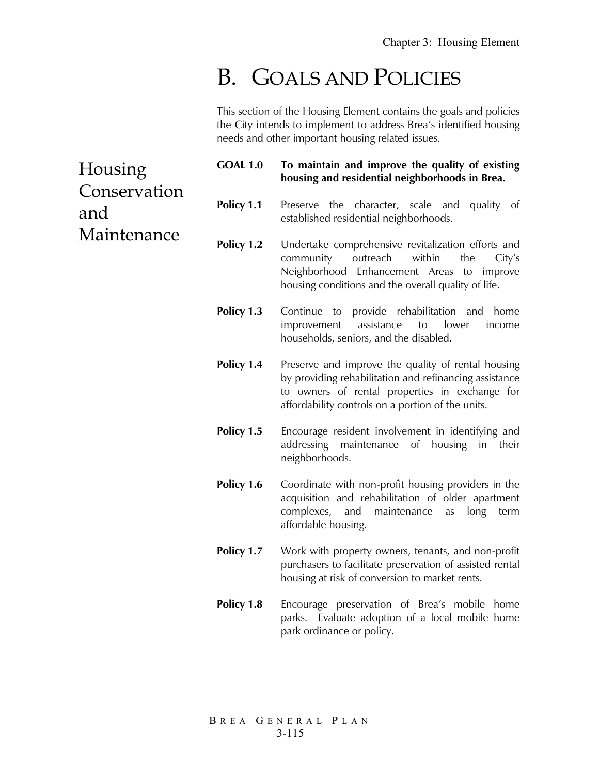# B. GOALS AND POLICIES

This section of the Housing Element contains the goals and policies the City intends to implement to address Brea's identified housing needs and other important housing related issues.

Housing Conservation and Maintenance **GOAL 1.0 To maintain and improve the quality of existing housing and residential neighborhoods in Brea. Policy 1.1** Preserve the character, scale and quality of established residential neighborhoods. **Policy 1.2** Undertake comprehensive revitalization efforts and community outreach within the City's Neighborhood Enhancement Areas to improve housing conditions and the overall quality of life. **Policy 1.3** Continue to provide rehabilitation and home improvement assistance to lower income households, seniors, and the disabled. **Policy 1.4** Preserve and improve the quality of rental housing by providing rehabilitation and refinancing assistance to owners of rental properties in exchange for affordability controls on a portion of the units. **Policy 1.5** Encourage resident involvement in identifying and addressing maintenance of housing in their neighborhoods. **Policy 1.6** Coordinate with non-profit housing providers in the acquisition and rehabilitation of older apartment complexes, and maintenance as long term affordable housing. **Policy 1.7** Work with property owners, tenants, and non-profit purchasers to facilitate preservation of assisted rental housing at risk of conversion to market rents. **Policy 1.8** Encourage preservation of Brea's mobile home parks. Evaluate adoption of a local mobile home park ordinance or policy.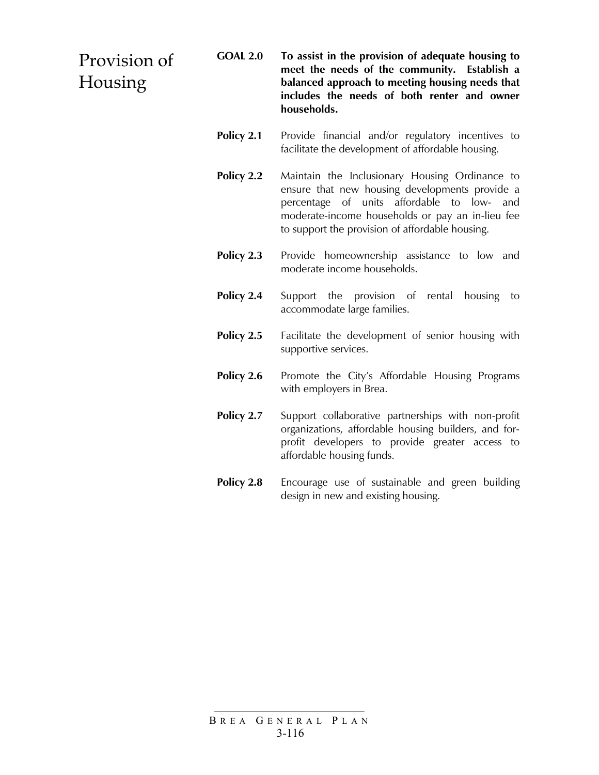#### Provision of Housing **GOAL 2.0 To assist in the provision of adequate housing to meet the needs of the community. Establish a balanced approach to meeting housing needs that includes the needs of both renter and owner households.**

- **Policy 2.1** Provide financial and/or regulatory incentives to facilitate the development of affordable housing.
- **Policy 2.2** Maintain the Inclusionary Housing Ordinance to ensure that new housing developments provide a percentage of units affordable to low- and moderate-income households or pay an in-lieu fee to support the provision of affordable housing.
- **Policy 2.3** Provide homeownership assistance to low and moderate income households.
- **Policy 2.4** Support the provision of rental housing to accommodate large families.
- **Policy 2.5** Facilitate the development of senior housing with supportive services.
- **Policy 2.6** Promote the City's Affordable Housing Programs with employers in Brea.
- **Policy 2.7** Support collaborative partnerships with non-profit organizations, affordable housing builders, and forprofit developers to provide greater access to affordable housing funds.
- **Policy 2.8** Encourage use of sustainable and green building design in new and existing housing.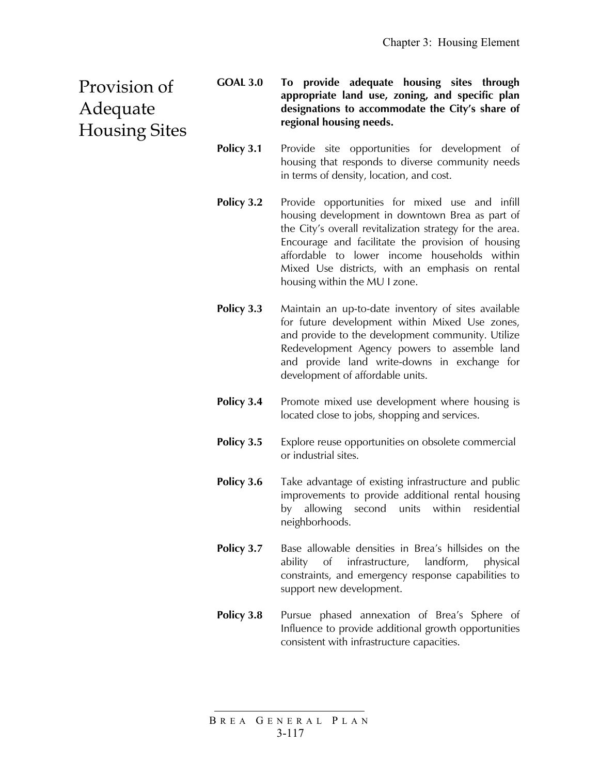Provision of Adequate Housing Sites **GOAL 3.0 To provide adequate housing sites through appropriate land use, zoning, and specific plan designations to accommodate the City's share of regional housing needs.** 

- **Policy 3.1** Provide site opportunities for development of housing that responds to diverse community needs in terms of density, location, and cost.
- **Policy 3.2** Provide opportunities for mixed use and infill housing development in downtown Brea as part of the City's overall revitalization strategy for the area. Encourage and facilitate the provision of housing affordable to lower income households within Mixed Use districts, with an emphasis on rental housing within the MU I zone.
- **Policy 3.3** Maintain an up-to-date inventory of sites available for future development within Mixed Use zones, and provide to the development community. Utilize Redevelopment Agency powers to assemble land and provide land write-downs in exchange for development of affordable units.
- **Policy 3.4** Promote mixed use development where housing is located close to jobs, shopping and services.
- **Policy 3.5** Explore reuse opportunities on obsolete commercial or industrial sites.
- **Policy 3.6** Take advantage of existing infrastructure and public improvements to provide additional rental housing by allowing second units within residential neighborhoods.
- **Policy 3.7** Base allowable densities in Brea's hillsides on the ability of infrastructure, landform, physical constraints, and emergency response capabilities to support new development.
- **Policy 3.8** Pursue phased annexation of Brea's Sphere of Influence to provide additional growth opportunities consistent with infrastructure capacities.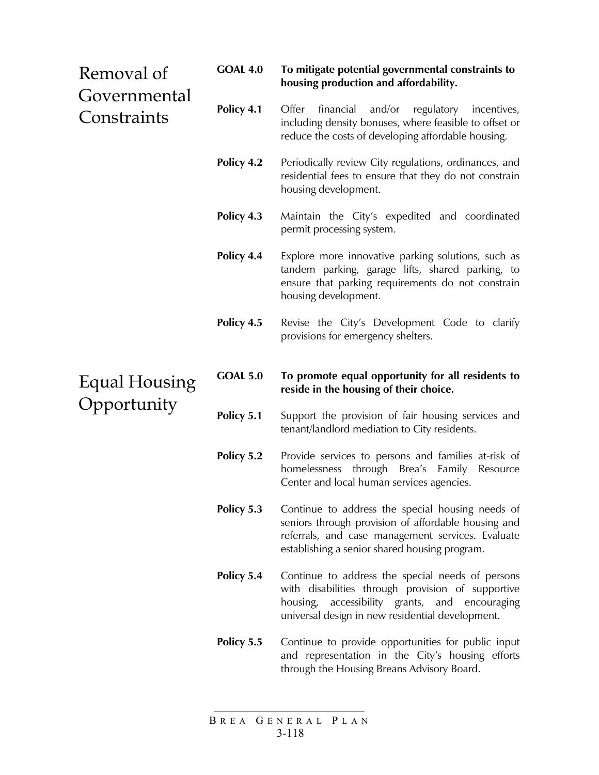# Removal of Governmental **Constraints**

#### **GOAL 4.0 To mitigate potential governmental constraints to housing production and affordability.**

- **Policy 4.1** Offer financial and/or regulatory incentives, including density bonuses, where feasible to offset or reduce the costs of developing affordable housing.
- **Policy 4.2** Periodically review City regulations, ordinances, and residential fees to ensure that they do not constrain housing development.
- **Policy 4.3** Maintain the City's expedited and coordinated permit processing system.
- **Policy 4.4** Explore more innovative parking solutions, such as tandem parking, garage lifts, shared parking, to ensure that parking requirements do not constrain housing development.
- **Policy 4.5** Revise the City's Development Code to clarify provisions for emergency shelters.

# Equal Housing Opportunity

#### **GOAL 5.0 To promote equal opportunity for all residents to reside in the housing of their choice.**

- **Policy 5.1** Support the provision of fair housing services and tenant/landlord mediation to City residents.
- **Policy 5.2** Provide services to persons and families at-risk of homelessness through Brea's Family Resource Center and local human services agencies.
- **Policy 5.3** Continue to address the special housing needs of seniors through provision of affordable housing and referrals, and case management services. Evaluate establishing a senior shared housing program.
- **Policy 5.4** Continue to address the special needs of persons with disabilities through provision of supportive housing, accessibility grants, and encouraging universal design in new residential development.
- **Policy 5.5** Continue to provide opportunities for public input and representation in the City's housing efforts through the Housing Breans Advisory Board.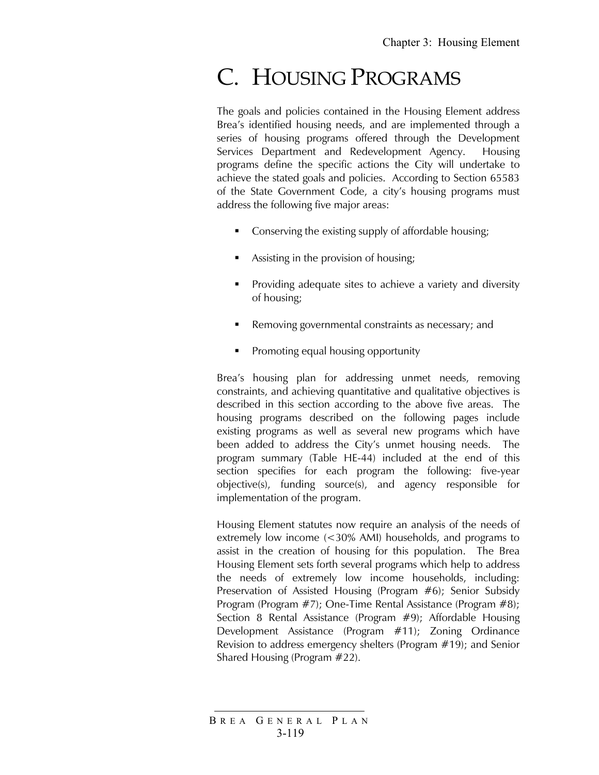# C. HOUSING PROGRAMS

The goals and policies contained in the Housing Element address Brea's identified housing needs, and are implemented through a series of housing programs offered through the Development Services Department and Redevelopment Agency. Housing programs define the specific actions the City will undertake to achieve the stated goals and policies. According to Section 65583 of the State Government Code, a city's housing programs must address the following five major areas:

- Conserving the existing supply of affordable housing;
- Assisting in the provision of housing;
- Providing adequate sites to achieve a variety and diversity of housing;
- Removing governmental constraints as necessary; and
- Promoting equal housing opportunity

Brea's housing plan for addressing unmet needs, removing constraints, and achieving quantitative and qualitative objectives is described in this section according to the above five areas. The housing programs described on the following pages include existing programs as well as several new programs which have been added to address the City's unmet housing needs. The program summary (Table HE-44) included at the end of this section specifies for each program the following: five-year objective(s), funding source(s), and agency responsible for implementation of the program.

Housing Element statutes now require an analysis of the needs of extremely low income (<30% AMI) households, and programs to assist in the creation of housing for this population. The Brea Housing Element sets forth several programs which help to address the needs of extremely low income households, including: Preservation of Assisted Housing (Program #6); Senior Subsidy Program (Program #7); One-Time Rental Assistance (Program #8); Section 8 Rental Assistance (Program #9); Affordable Housing Development Assistance (Program #11); Zoning Ordinance Revision to address emergency shelters (Program #19); and Senior Shared Housing (Program #22).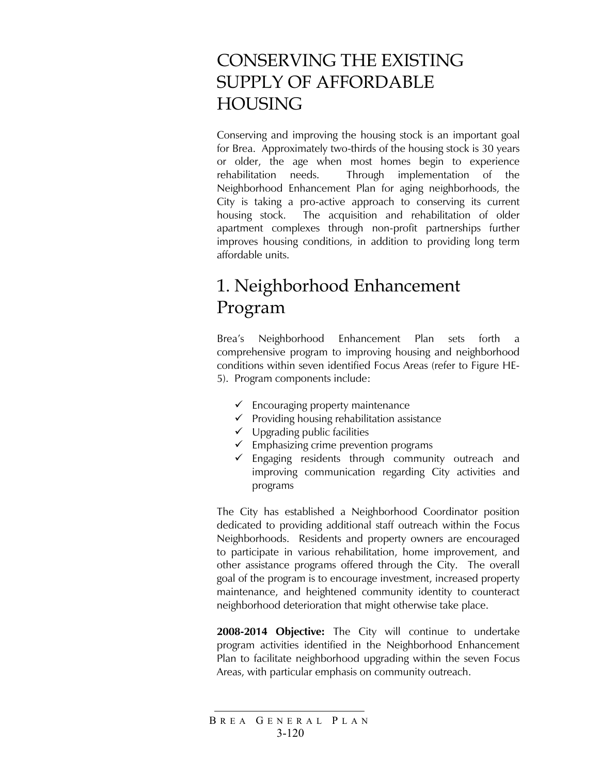# CONSERVING THE EXISTING SUPPLY OF AFFORDABLE HOUSING

Conserving and improving the housing stock is an important goal for Brea. Approximately two-thirds of the housing stock is 30 years or older, the age when most homes begin to experience rehabilitation needs. Through implementation of the Neighborhood Enhancement Plan for aging neighborhoods, the City is taking a pro-active approach to conserving its current housing stock. The acquisition and rehabilitation of older apartment complexes through non-profit partnerships further improves housing conditions, in addition to providing long term affordable units.

# 1. Neighborhood Enhancement Program

Brea's Neighborhood Enhancement Plan sets forth a comprehensive program to improving housing and neighborhood conditions within seven identified Focus Areas (refer to Figure HE-5). Program components include:

- $\checkmark$  Encouraging property maintenance
- $\checkmark$  Providing housing rehabilitation assistance
- $\checkmark$  Upgrading public facilities
- $\checkmark$  Emphasizing crime prevention programs
- $\checkmark$  Engaging residents through community outreach and improving communication regarding City activities and programs

The City has established a Neighborhood Coordinator position dedicated to providing additional staff outreach within the Focus Neighborhoods. Residents and property owners are encouraged to participate in various rehabilitation, home improvement, and other assistance programs offered through the City. The overall goal of the program is to encourage investment, increased property maintenance, and heightened community identity to counteract neighborhood deterioration that might otherwise take place.

**2008-2014 Objective:** The City will continue to undertake program activities identified in the Neighborhood Enhancement Plan to facilitate neighborhood upgrading within the seven Focus Areas, with particular emphasis on community outreach.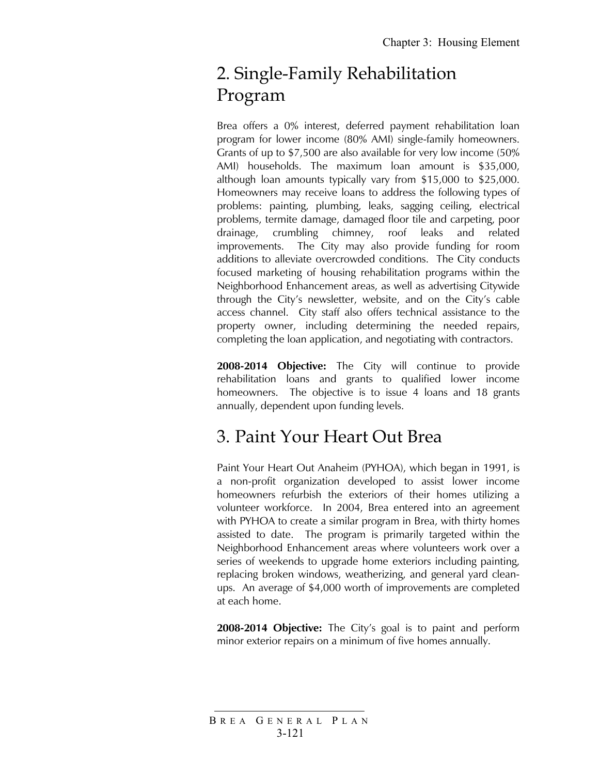# 2. Single-Family Rehabilitation Program

Brea offers a 0% interest, deferred payment rehabilitation loan program for lower income (80% AMI) single-family homeowners. Grants of up to \$7,500 are also available for very low income (50% AMI) households. The maximum loan amount is \$35,000, although loan amounts typically vary from \$15,000 to \$25,000. Homeowners may receive loans to address the following types of problems: painting, plumbing, leaks, sagging ceiling, electrical problems, termite damage, damaged floor tile and carpeting, poor drainage, crumbling chimney, roof leaks and related improvements. The City may also provide funding for room additions to alleviate overcrowded conditions. The City conducts focused marketing of housing rehabilitation programs within the Neighborhood Enhancement areas, as well as advertising Citywide through the City's newsletter, website, and on the City's cable access channel. City staff also offers technical assistance to the property owner, including determining the needed repairs, completing the loan application, and negotiating with contractors.

**2008-2014 Objective:** The City will continue to provide rehabilitation loans and grants to qualified lower income homeowners. The objective is to issue 4 loans and 18 grants annually, dependent upon funding levels.

# 3. Paint Your Heart Out Brea

Paint Your Heart Out Anaheim (PYHOA), which began in 1991, is a non-profit organization developed to assist lower income homeowners refurbish the exteriors of their homes utilizing a volunteer workforce. In 2004, Brea entered into an agreement with PYHOA to create a similar program in Brea, with thirty homes assisted to date. The program is primarily targeted within the Neighborhood Enhancement areas where volunteers work over a series of weekends to upgrade home exteriors including painting, replacing broken windows, weatherizing, and general yard cleanups. An average of \$4,000 worth of improvements are completed at each home.

**2008-2014 Objective:** The City's goal is to paint and perform minor exterior repairs on a minimum of five homes annually.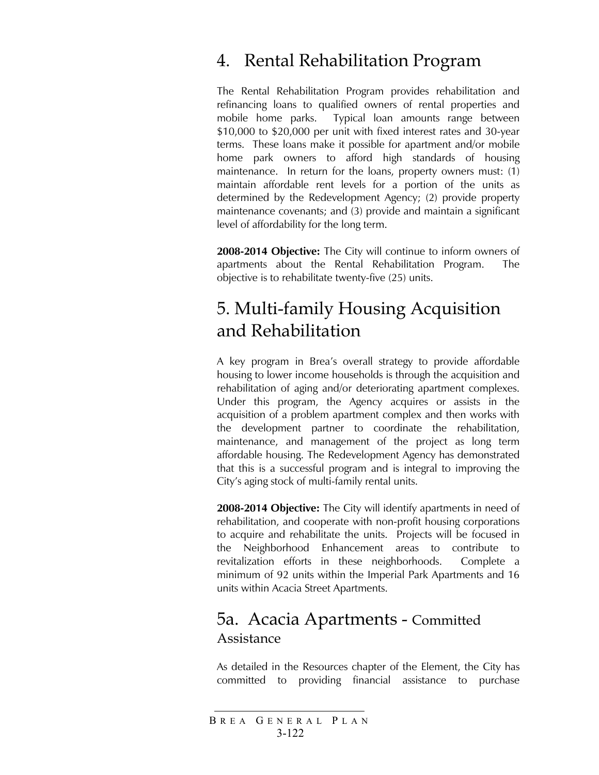### 4. Rental Rehabilitation Program

The Rental Rehabilitation Program provides rehabilitation and refinancing loans to qualified owners of rental properties and mobile home parks. Typical loan amounts range between \$10,000 to \$20,000 per unit with fixed interest rates and 30-year terms. These loans make it possible for apartment and/or mobile home park owners to afford high standards of housing maintenance. In return for the loans, property owners must: (1) maintain affordable rent levels for a portion of the units as determined by the Redevelopment Agency; (2) provide property maintenance covenants; and (3) provide and maintain a significant level of affordability for the long term.

**2008-2014 Objective:** The City will continue to inform owners of apartments about the Rental Rehabilitation Program. The objective is to rehabilitate twenty-five (25) units.

### 5. Multi-family Housing Acquisition and Rehabilitation

A key program in Brea's overall strategy to provide affordable housing to lower income households is through the acquisition and rehabilitation of aging and/or deteriorating apartment complexes. Under this program, the Agency acquires or assists in the acquisition of a problem apartment complex and then works with the development partner to coordinate the rehabilitation, maintenance, and management of the project as long term affordable housing. The Redevelopment Agency has demonstrated that this is a successful program and is integral to improving the City's aging stock of multi-family rental units.

**2008-2014 Objective:** The City will identify apartments in need of rehabilitation, and cooperate with non-profit housing corporations to acquire and rehabilitate the units. Projects will be focused in the Neighborhood Enhancement areas to contribute to revitalization efforts in these neighborhoods. Complete a minimum of 92 units within the Imperial Park Apartments and 16 units within Acacia Street Apartments.

#### 5a. Acacia Apartments - Committed Assistance

As detailed in the Resources chapter of the Element, the City has committed to providing financial assistance to purchase

B REA G ENERAL P LAN 3-122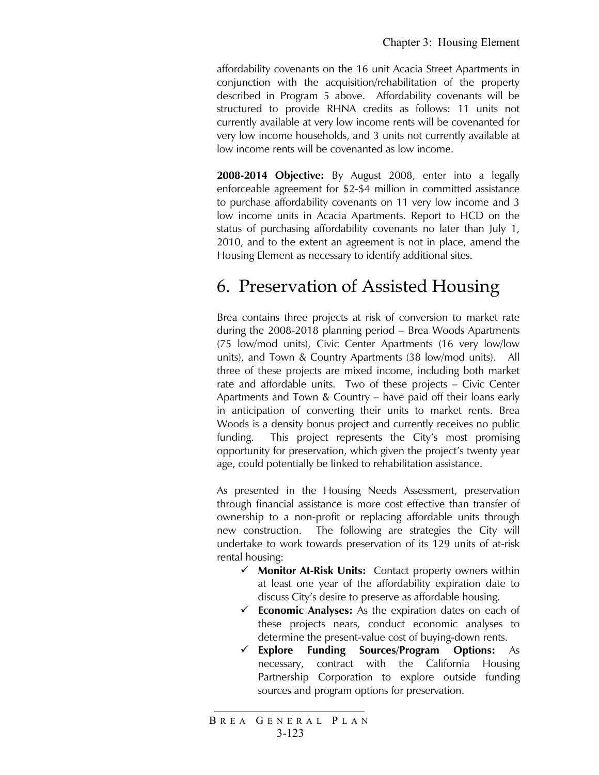affordability covenants on the 16 unit Acacia Street Apartments in conjunction with the acquisition/rehabilitation of the property described in Program 5 above. Affordability covenants will be structured to provide RHNA credits as follows: 11 units not currently available at very low income rents will be covenanted for very low income households, and 3 units not currently available at low income rents will be covenanted as low income.

**2008-2014 Objective:** By August 2008, enter into a legally enforceable agreement for \$2-\$4 million in committed assistance to purchase affordability covenants on 11 very low income and 3 low income units in Acacia Apartments. Report to HCD on the status of purchasing affordability covenants no later than July 1, 2010, and to the extent an agreement is not in place, amend the Housing Element as necessary to identify additional sites.

# 6. Preservation of Assisted Housing

Brea contains three projects at risk of conversion to market rate during the 2008-2018 planning period – Brea Woods Apartments (75 low/mod units), Civic Center Apartments (16 very low/low units), and Town & Country Apartments (38 low/mod units). All three of these projects are mixed income, including both market rate and affordable units. Two of these projects – Civic Center Apartments and Town & Country – have paid off their loans early in anticipation of converting their units to market rents. Brea Woods is a density bonus project and currently receives no public funding. This project represents the City's most promising opportunity for preservation, which given the project's twenty year age, could potentially be linked to rehabilitation assistance.

As presented in the Housing Needs Assessment, preservation through financial assistance is more cost effective than transfer of ownership to a non-profit or replacing affordable units through new construction. The following are strategies the City will undertake to work towards preservation of its 129 units of at-risk rental housing:

- 9 **Monitor At-Risk Units:** Contact property owners within at least one year of the affordability expiration date to discuss City's desire to preserve as affordable housing.
- 9 **Economic Analyses:** As the expiration dates on each of these projects nears, conduct economic analyses to determine the present-value cost of buying-down rents.
- 9 **Explore Funding Sources/Program Options:** As necessary, contract with the California Housing Partnership Corporation to explore outside funding sources and program options for preservation.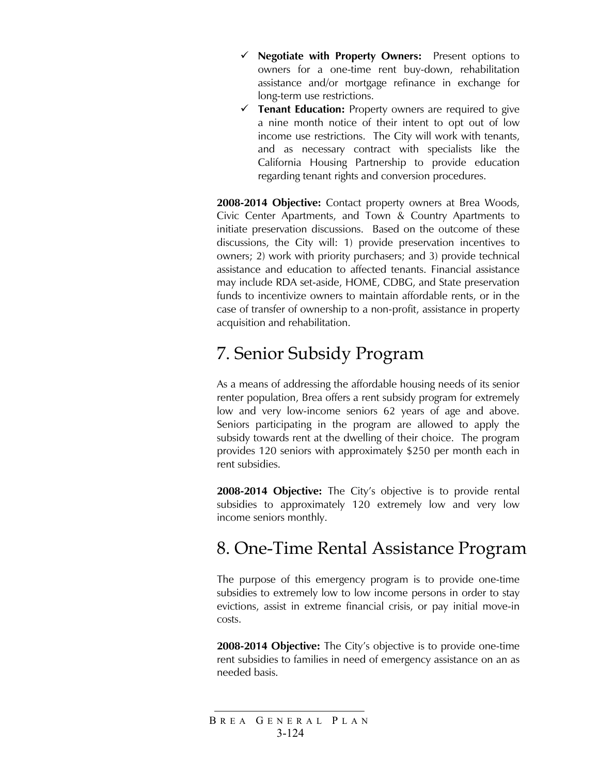- 9 **Negotiate with Property Owners:** Present options to owners for a one-time rent buy-down, rehabilitation assistance and/or mortgage refinance in exchange for long-term use restrictions.
- $\checkmark$  **Tenant Education:** Property owners are required to give a nine month notice of their intent to opt out of low income use restrictions. The City will work with tenants, and as necessary contract with specialists like the California Housing Partnership to provide education regarding tenant rights and conversion procedures.

**2008-2014 Objective:** Contact property owners at Brea Woods, Civic Center Apartments, and Town & Country Apartments to initiate preservation discussions. Based on the outcome of these discussions, the City will: 1) provide preservation incentives to owners; 2) work with priority purchasers; and 3) provide technical assistance and education to affected tenants. Financial assistance may include RDA set-aside, HOME, CDBG, and State preservation funds to incentivize owners to maintain affordable rents, or in the case of transfer of ownership to a non-profit, assistance in property acquisition and rehabilitation.

# 7. Senior Subsidy Program

As a means of addressing the affordable housing needs of its senior renter population, Brea offers a rent subsidy program for extremely low and very low-income seniors 62 years of age and above. Seniors participating in the program are allowed to apply the subsidy towards rent at the dwelling of their choice. The program provides 120 seniors with approximately \$250 per month each in rent subsidies.

**2008-2014 Objective:** The City's objective is to provide rental subsidies to approximately 120 extremely low and very low income seniors monthly.

### 8. One-Time Rental Assistance Program

The purpose of this emergency program is to provide one-time subsidies to extremely low to low income persons in order to stay evictions, assist in extreme financial crisis, or pay initial move-in costs.

**2008-2014 Objective:** The City's objective is to provide one-time rent subsidies to families in need of emergency assistance on an as needed basis.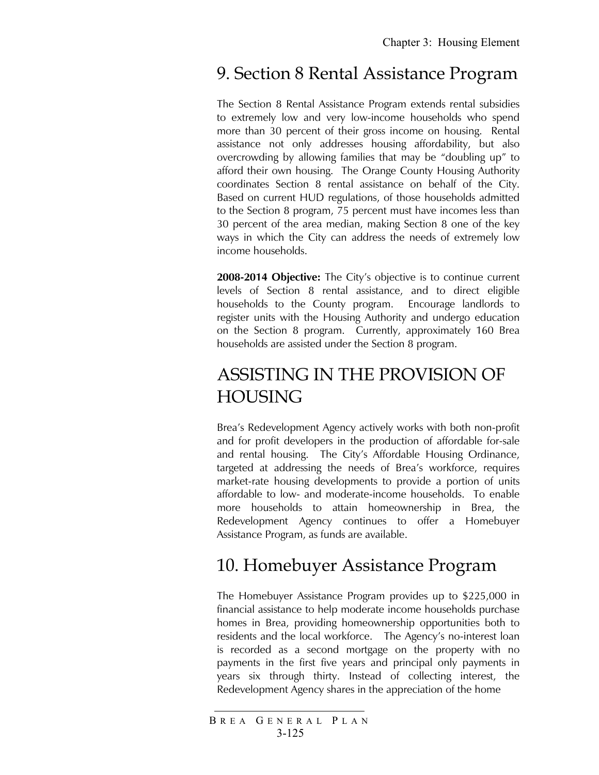#### 9. Section 8 Rental Assistance Program

The Section 8 Rental Assistance Program extends rental subsidies to extremely low and very low-income households who spend more than 30 percent of their gross income on housing. Rental assistance not only addresses housing affordability, but also overcrowding by allowing families that may be "doubling up" to afford their own housing. The Orange County Housing Authority coordinates Section 8 rental assistance on behalf of the City. Based on current HUD regulations, of those households admitted to the Section 8 program, 75 percent must have incomes less than 30 percent of the area median, making Section 8 one of the key ways in which the City can address the needs of extremely low income households.

**2008-2014 Objective:** The City's objective is to continue current levels of Section 8 rental assistance, and to direct eligible households to the County program. Encourage landlords to register units with the Housing Authority and undergo education on the Section 8 program. Currently, approximately 160 Brea households are assisted under the Section 8 program.

# ASSISTING IN THE PROVISION OF HOUSING

Brea's Redevelopment Agency actively works with both non-profit and for profit developers in the production of affordable for-sale and rental housing. The City's Affordable Housing Ordinance, targeted at addressing the needs of Brea's workforce, requires market-rate housing developments to provide a portion of units affordable to low- and moderate-income households. To enable more households to attain homeownership in Brea, the Redevelopment Agency continues to offer a Homebuyer Assistance Program, as funds are available.

# 10. Homebuyer Assistance Program

The Homebuyer Assistance Program provides up to \$225,000 in financial assistance to help moderate income households purchase homes in Brea, providing homeownership opportunities both to residents and the local workforce. The Agency's no-interest loan is recorded as a second mortgage on the property with no payments in the first five years and principal only payments in years six through thirty. Instead of collecting interest, the Redevelopment Agency shares in the appreciation of the home

B REA G ENERAL P LAN 3-125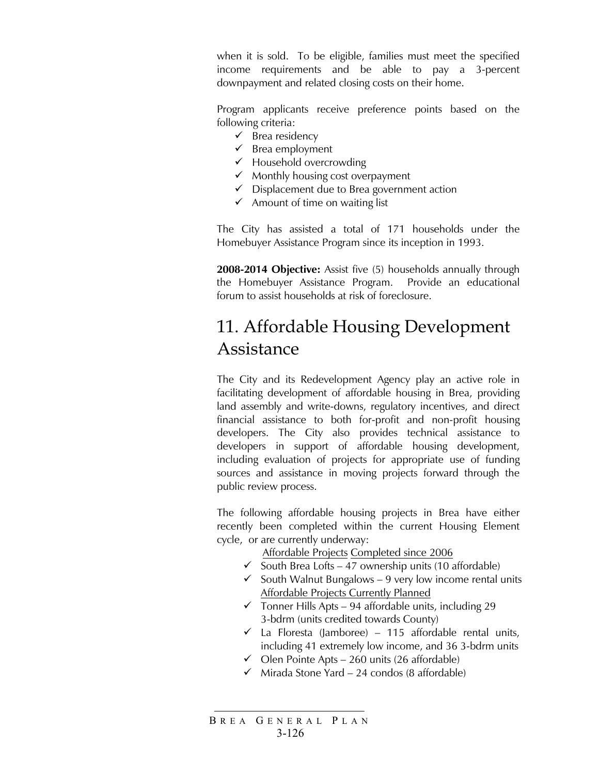when it is sold. To be eligible, families must meet the specified income requirements and be able to pay a 3-percent downpayment and related closing costs on their home.

Program applicants receive preference points based on the following criteria:

- $\checkmark$  Brea residency
- $\checkmark$  Brea employment
- $\checkmark$  Household overcrowding
- $\checkmark$  Monthly housing cost overpayment
- $\checkmark$  Displacement due to Brea government action
- $\checkmark$  Amount of time on waiting list

The City has assisted a total of 171 households under the Homebuyer Assistance Program since its inception in 1993.

**2008-2014 Objective:** Assist five (5) households annually through the Homebuyer Assistance Program. Provide an educational forum to assist households at risk of foreclosure.

# 11. Affordable Housing Development Assistance

The City and its Redevelopment Agency play an active role in facilitating development of affordable housing in Brea, providing land assembly and write-downs, regulatory incentives, and direct financial assistance to both for-profit and non-profit housing developers. The City also provides technical assistance to developers in support of affordable housing development, including evaluation of projects for appropriate use of funding sources and assistance in moving projects forward through the public review process.

The following affordable housing projects in Brea have either recently been completed within the current Housing Element cycle, or are currently underway:

Affordable Projects Completed since 2006

- $\checkmark$  South Brea Lofts 47 ownership units (10 affordable)
- $\checkmark$  South Walnut Bungalows 9 very low income rental units Affordable Projects Currently Planned
- $\checkmark$  Tonner Hills Apts 94 affordable units, including 29 3-bdrm (units credited towards County)
- $\checkmark$  La Floresta (Jamboree) 115 affordable rental units, including 41 extremely low income, and 36 3-bdrm units
- $\checkmark$  Olen Pointe Apts 260 units (26 affordable)
- $\checkmark$  Mirada Stone Yard 24 condos (8 affordable)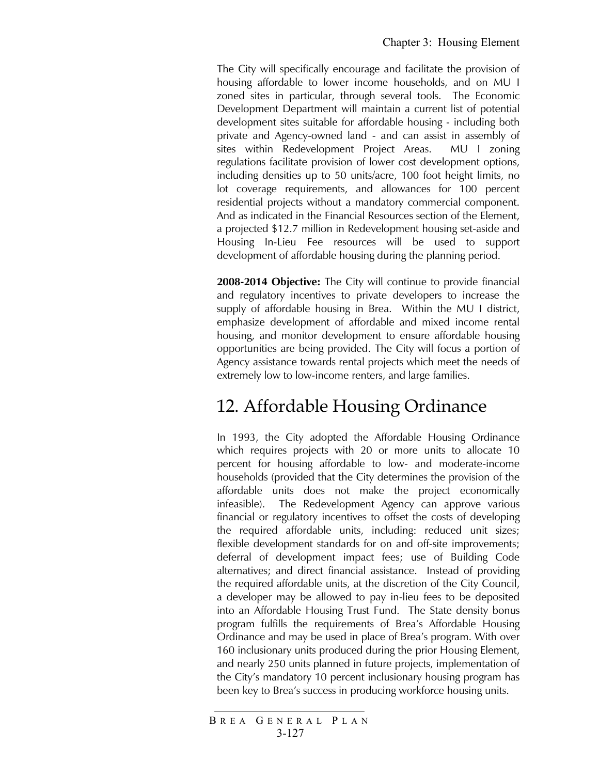The City will specifically encourage and facilitate the provision of housing affordable to lower income households, and on MU I zoned sites in particular, through several tools. The Economic Development Department will maintain a current list of potential development sites suitable for affordable housing - including both private and Agency-owned land - and can assist in assembly of sites within Redevelopment Project Areas. MU I zoning regulations facilitate provision of lower cost development options, including densities up to 50 units/acre, 100 foot height limits, no lot coverage requirements, and allowances for 100 percent residential projects without a mandatory commercial component. And as indicated in the Financial Resources section of the Element, a projected \$12.7 million in Redevelopment housing set-aside and Housing In-Lieu Fee resources will be used to support development of affordable housing during the planning period.

**2008-2014 Objective:** The City will continue to provide financial and regulatory incentives to private developers to increase the supply of affordable housing in Brea. Within the MU I district, emphasize development of affordable and mixed income rental housing, and monitor development to ensure affordable housing opportunities are being provided. The City will focus a portion of Agency assistance towards rental projects which meet the needs of extremely low to low-income renters, and large families.

# 12. Affordable Housing Ordinance

In 1993, the City adopted the Affordable Housing Ordinance which requires projects with 20 or more units to allocate 10 percent for housing affordable to low- and moderate-income households (provided that the City determines the provision of the affordable units does not make the project economically infeasible). The Redevelopment Agency can approve various financial or regulatory incentives to offset the costs of developing the required affordable units, including: reduced unit sizes; flexible development standards for on and off-site improvements; deferral of development impact fees; use of Building Code alternatives; and direct financial assistance. Instead of providing the required affordable units, at the discretion of the City Council, a developer may be allowed to pay in-lieu fees to be deposited into an Affordable Housing Trust Fund. The State density bonus program fulfills the requirements of Brea's Affordable Housing Ordinance and may be used in place of Brea's program. With over 160 inclusionary units produced during the prior Housing Element, and nearly 250 units planned in future projects, implementation of the City's mandatory 10 percent inclusionary housing program has been key to Brea's success in producing workforce housing units.

B REA G ENERAL P LAN 3-127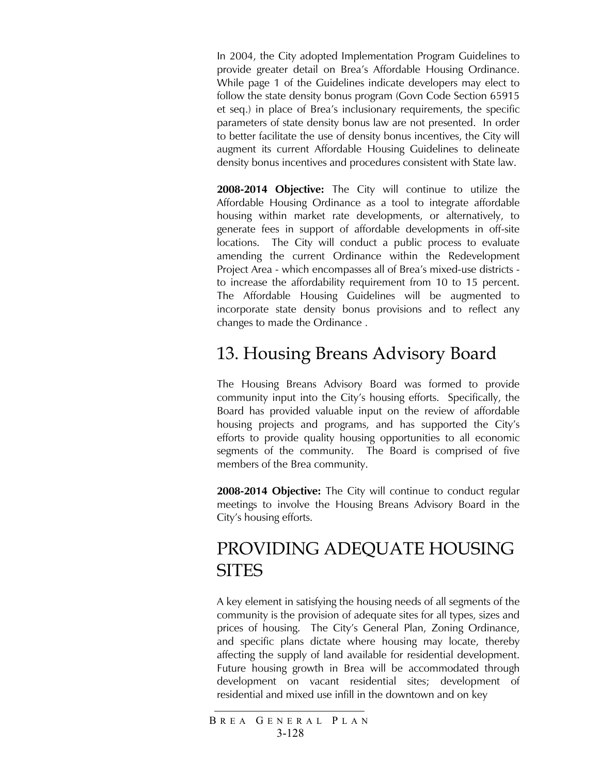In 2004, the City adopted Implementation Program Guidelines to provide greater detail on Brea's Affordable Housing Ordinance. While page 1 of the Guidelines indicate developers may elect to follow the state density bonus program (Govn Code Section 65915 et seq.) in place of Brea's inclusionary requirements, the specific parameters of state density bonus law are not presented. In order to better facilitate the use of density bonus incentives, the City will augment its current Affordable Housing Guidelines to delineate density bonus incentives and procedures consistent with State law.

**2008-2014 Objective:** The City will continue to utilize the Affordable Housing Ordinance as a tool to integrate affordable housing within market rate developments, or alternatively, to generate fees in support of affordable developments in off-site locations. The City will conduct a public process to evaluate amending the current Ordinance within the Redevelopment Project Area - which encompasses all of Brea's mixed-use districts to increase the affordability requirement from 10 to 15 percent. The Affordable Housing Guidelines will be augmented to incorporate state density bonus provisions and to reflect any changes to made the Ordinance .

### 13. Housing Breans Advisory Board

The Housing Breans Advisory Board was formed to provide community input into the City's housing efforts. Specifically, the Board has provided valuable input on the review of affordable housing projects and programs, and has supported the City's efforts to provide quality housing opportunities to all economic segments of the community. The Board is comprised of five members of the Brea community.

**2008-2014 Objective:** The City will continue to conduct regular meetings to involve the Housing Breans Advisory Board in the City's housing efforts.

# PROVIDING ADEQUATE HOUSING **SITES**

A key element in satisfying the housing needs of all segments of the community is the provision of adequate sites for all types, sizes and prices of housing. The City's General Plan, Zoning Ordinance, and specific plans dictate where housing may locate, thereby affecting the supply of land available for residential development. Future housing growth in Brea will be accommodated through development on vacant residential sites; development of residential and mixed use infill in the downtown and on key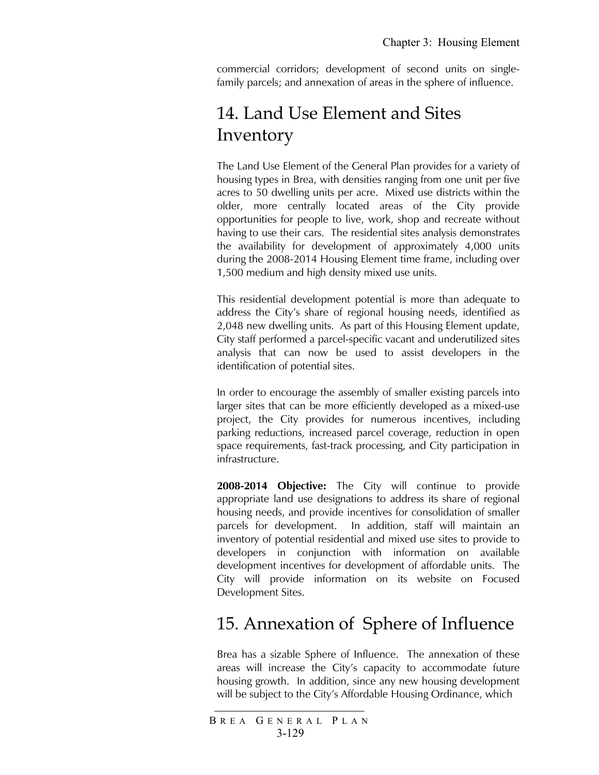commercial corridors; development of second units on singlefamily parcels; and annexation of areas in the sphere of influence.

# 14. Land Use Element and Sites Inventory

The Land Use Element of the General Plan provides for a variety of housing types in Brea, with densities ranging from one unit per five acres to 50 dwelling units per acre. Mixed use districts within the older, more centrally located areas of the City provide opportunities for people to live, work, shop and recreate without having to use their cars. The residential sites analysis demonstrates the availability for development of approximately 4,000 units during the 2008-2014 Housing Element time frame, including over 1,500 medium and high density mixed use units.

This residential development potential is more than adequate to address the City's share of regional housing needs, identified as 2,048 new dwelling units. As part of this Housing Element update, City staff performed a parcel-specific vacant and underutilized sites analysis that can now be used to assist developers in the identification of potential sites.

In order to encourage the assembly of smaller existing parcels into larger sites that can be more efficiently developed as a mixed-use project, the City provides for numerous incentives, including parking reductions, increased parcel coverage, reduction in open space requirements, fast-track processing, and City participation in infrastructure.

**2008-2014 Objective:** The City will continue to provide appropriate land use designations to address its share of regional housing needs, and provide incentives for consolidation of smaller parcels for development. In addition, staff will maintain an inventory of potential residential and mixed use sites to provide to developers in conjunction with information on available development incentives for development of affordable units. The City will provide information on its website on Focused Development Sites.

# 15. Annexation of Sphere of Influence

Brea has a sizable Sphere of Influence. The annexation of these areas will increase the City's capacity to accommodate future housing growth. In addition, since any new housing development will be subject to the City's Affordable Housing Ordinance, which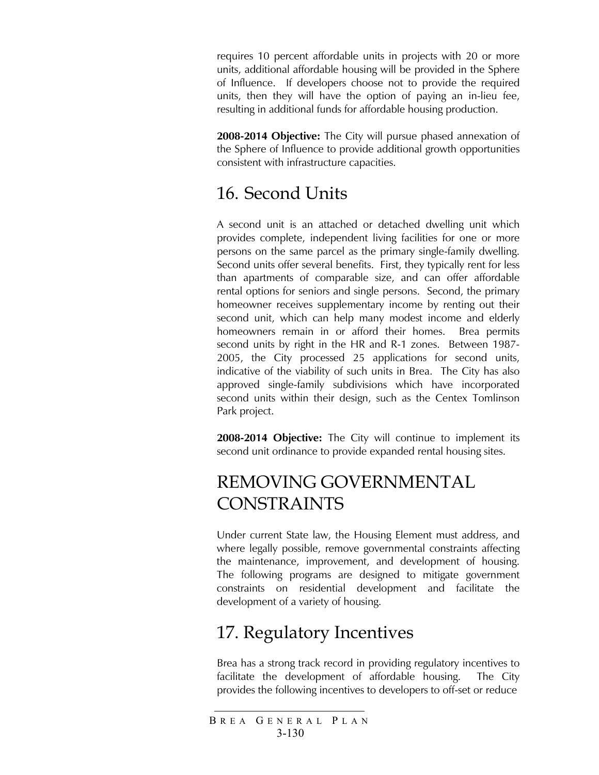requires 10 percent affordable units in projects with 20 or more units, additional affordable housing will be provided in the Sphere of Influence. If developers choose not to provide the required units, then they will have the option of paying an in-lieu fee, resulting in additional funds for affordable housing production.

**2008-2014 Objective:** The City will pursue phased annexation of the Sphere of Influence to provide additional growth opportunities consistent with infrastructure capacities.

# 16. Second Units

A second unit is an attached or detached dwelling unit which provides complete, independent living facilities for one or more persons on the same parcel as the primary single-family dwelling. Second units offer several benefits. First, they typically rent for less than apartments of comparable size, and can offer affordable rental options for seniors and single persons. Second, the primary homeowner receives supplementary income by renting out their second unit, which can help many modest income and elderly homeowners remain in or afford their homes. Brea permits second units by right in the HR and R-1 zones. Between 1987- 2005, the City processed 25 applications for second units, indicative of the viability of such units in Brea. The City has also approved single-family subdivisions which have incorporated second units within their design, such as the Centex Tomlinson Park project.

**2008-2014 Objective:** The City will continue to implement its second unit ordinance to provide expanded rental housing sites.

# REMOVING GOVERNMENTAL CONSTRAINTS

Under current State law, the Housing Element must address, and where legally possible, remove governmental constraints affecting the maintenance, improvement, and development of housing. The following programs are designed to mitigate government constraints on residential development and facilitate the development of a variety of housing.

# 17. Regulatory Incentives

Brea has a strong track record in providing regulatory incentives to facilitate the development of affordable housing. The City provides the following incentives to developers to off-set or reduce

B REA G ENERAL P LAN 3-130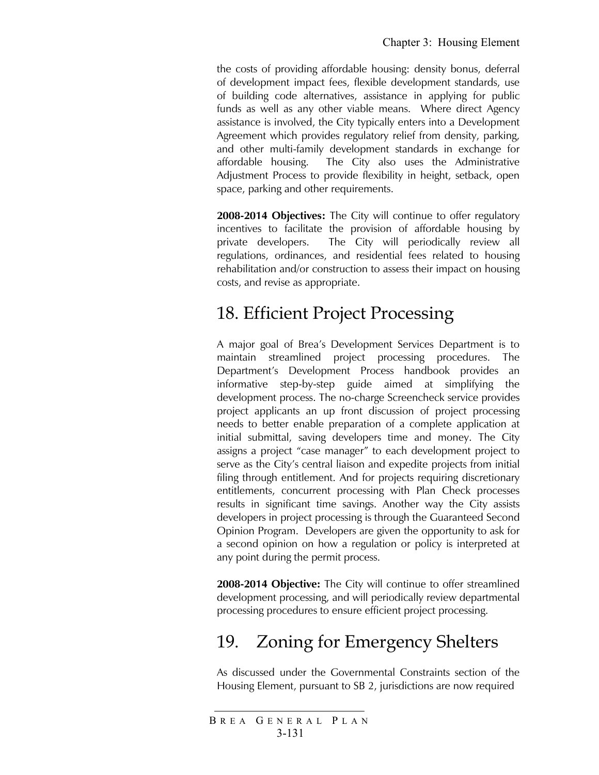the costs of providing affordable housing: density bonus, deferral of development impact fees, flexible development standards, use of building code alternatives, assistance in applying for public funds as well as any other viable means. Where direct Agency assistance is involved, the City typically enters into a Development Agreement which provides regulatory relief from density, parking, and other multi-family development standards in exchange for affordable housing. The City also uses the Administrative Adjustment Process to provide flexibility in height, setback, open space, parking and other requirements.

**2008-2014 Objectives:** The City will continue to offer regulatory incentives to facilitate the provision of affordable housing by private developers. The City will periodically review all regulations, ordinances, and residential fees related to housing rehabilitation and/or construction to assess their impact on housing costs, and revise as appropriate.

#### 18. Efficient Project Processing

A major goal of Brea's Development Services Department is to maintain streamlined project processing procedures. The Department's Development Process handbook provides an informative step-by-step guide aimed at simplifying the development process. The no-charge Screencheck service provides project applicants an up front discussion of project processing needs to better enable preparation of a complete application at initial submittal, saving developers time and money. The City assigns a project "case manager" to each development project to serve as the City's central liaison and expedite projects from initial filing through entitlement. And for projects requiring discretionary entitlements, concurrent processing with Plan Check processes results in significant time savings. Another way the City assists developers in project processing is through the Guaranteed Second Opinion Program. Developers are given the opportunity to ask for a second opinion on how a regulation or policy is interpreted at any point during the permit process.

**2008-2014 Objective:** The City will continue to offer streamlined development processing, and will periodically review departmental processing procedures to ensure efficient project processing.

# 19. Zoning for Emergency Shelters

As discussed under the Governmental Constraints section of the Housing Element, pursuant to SB 2, jurisdictions are now required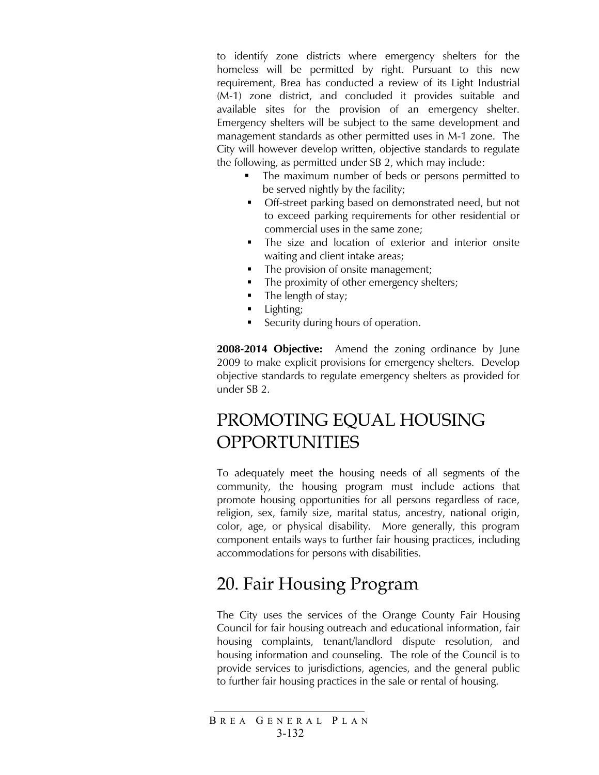to identify zone districts where emergency shelters for the homeless will be permitted by right. Pursuant to this new requirement, Brea has conducted a review of its Light Industrial (M-1) zone district, and concluded it provides suitable and available sites for the provision of an emergency shelter. Emergency shelters will be subject to the same development and management standards as other permitted uses in M-1 zone. The City will however develop written, objective standards to regulate the following, as permitted under SB 2, which may include:

- The maximum number of beds or persons permitted to be served nightly by the facility;
- Off-street parking based on demonstrated need, but not to exceed parking requirements for other residential or commercial uses in the same zone;
- **The size and location of exterior and interior onsite** waiting and client intake areas;
- The provision of onsite management;
- The proximity of other emergency shelters;
- $\blacksquare$  The length of stay;
- **Lighting**;
- Security during hours of operation.

**2008-2014 Objective:** Amend the zoning ordinance by June 2009 to make explicit provisions for emergency shelters. Develop objective standards to regulate emergency shelters as provided for under SB 2.

## PROMOTING EQUAL HOUSING OPPORTUNITIES

To adequately meet the housing needs of all segments of the community, the housing program must include actions that promote housing opportunities for all persons regardless of race, religion, sex, family size, marital status, ancestry, national origin, color, age, or physical disability. More generally, this program component entails ways to further fair housing practices, including accommodations for persons with disabilities.

### 20. Fair Housing Program

The City uses the services of the Orange County Fair Housing Council for fair housing outreach and educational information, fair housing complaints, tenant/landlord dispute resolution, and housing information and counseling. The role of the Council is to provide services to jurisdictions, agencies, and the general public to further fair housing practices in the sale or rental of housing.

B REA G ENERAL P LAN 3-132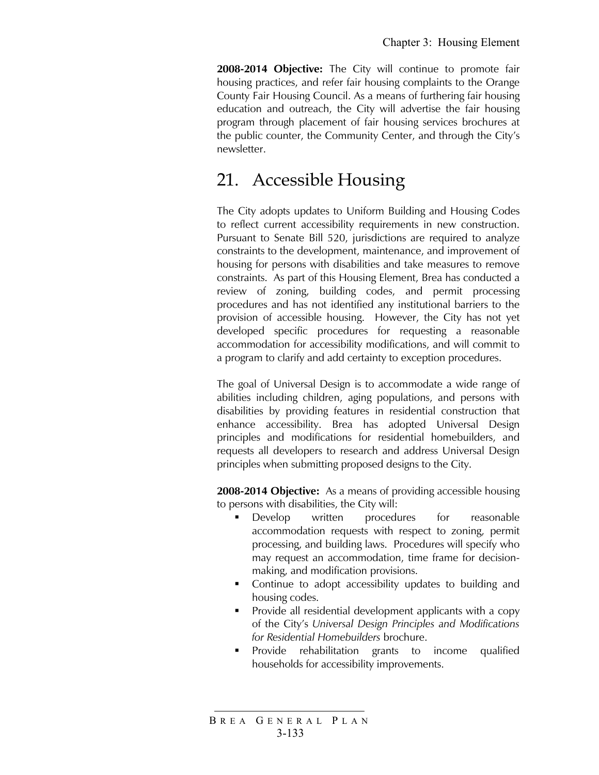**2008-2014 Objective:** The City will continue to promote fair housing practices, and refer fair housing complaints to the Orange County Fair Housing Council. As a means of furthering fair housing education and outreach, the City will advertise the fair housing program through placement of fair housing services brochures at the public counter, the Community Center, and through the City's newsletter.

#### 21. Accessible Housing

The City adopts updates to Uniform Building and Housing Codes to reflect current accessibility requirements in new construction. Pursuant to Senate Bill 520, jurisdictions are required to analyze constraints to the development, maintenance, and improvement of housing for persons with disabilities and take measures to remove constraints. As part of this Housing Element, Brea has conducted a review of zoning, building codes, and permit processing procedures and has not identified any institutional barriers to the provision of accessible housing. However, the City has not yet developed specific procedures for requesting a reasonable accommodation for accessibility modifications, and will commit to a program to clarify and add certainty to exception procedures.

The goal of Universal Design is to accommodate a wide range of abilities including children, aging populations, and persons with disabilities by providing features in residential construction that enhance accessibility. Brea has adopted Universal Design principles and modifications for residential homebuilders, and requests all developers to research and address Universal Design principles when submitting proposed designs to the City.

**2008-2014 Objective:** As a means of providing accessible housing to persons with disabilities, the City will:

- **Develop** written procedures for reasonable accommodation requests with respect to zoning, permit processing, and building laws. Procedures will specify who may request an accommodation, time frame for decisionmaking, and modification provisions.
- **•** Continue to adopt accessibility updates to building and housing codes.
- **Provide all residential development applicants with a copy** of the City's *Universal Design Principles and Modifications for Residential Homebuilders* brochure.
- **Provide rehabilitation grants to income qualified** households for accessibility improvements.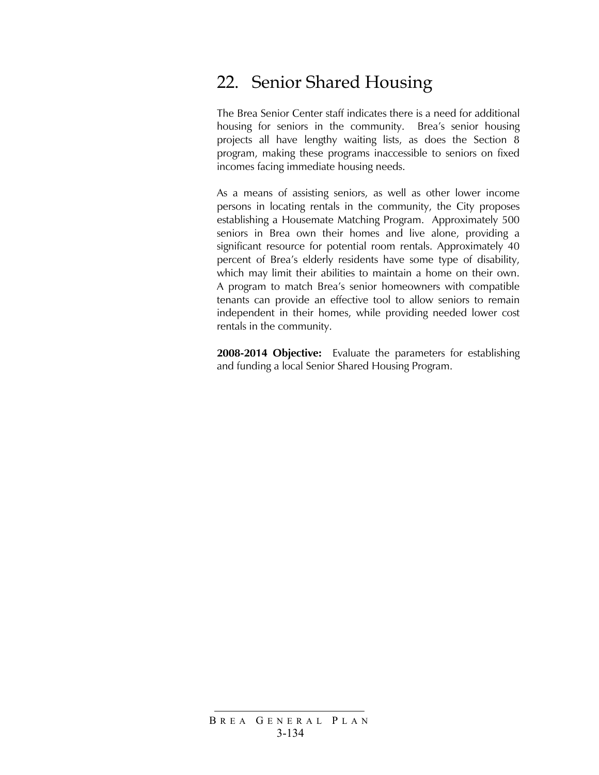# 22. Senior Shared Housing

The Brea Senior Center staff indicates there is a need for additional housing for seniors in the community. Brea's senior housing projects all have lengthy waiting lists, as does the Section 8 program, making these programs inaccessible to seniors on fixed incomes facing immediate housing needs.

As a means of assisting seniors, as well as other lower income persons in locating rentals in the community, the City proposes establishing a Housemate Matching Program. Approximately 500 seniors in Brea own their homes and live alone, providing a significant resource for potential room rentals. Approximately 40 percent of Brea's elderly residents have some type of disability, which may limit their abilities to maintain a home on their own. A program to match Brea's senior homeowners with compatible tenants can provide an effective tool to allow seniors to remain independent in their homes, while providing needed lower cost rentals in the community.

**2008-2014 Objective:** Evaluate the parameters for establishing and funding a local Senior Shared Housing Program.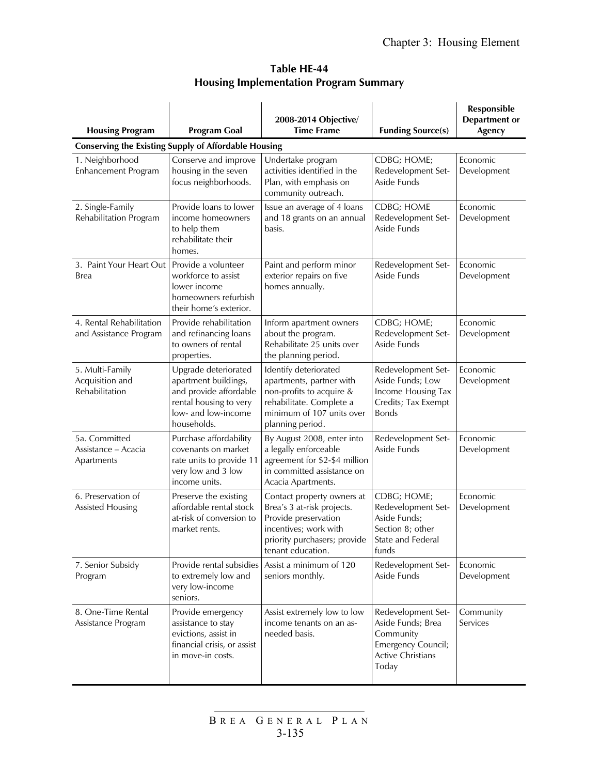| Table HE-44                                   |  |
|-----------------------------------------------|--|
| <b>Housing Implementation Program Summary</b> |  |

| <b>Housing Program</b>                                      | <b>Program Goal</b>                                                                                                                    | 2008-2014 Objective/<br><b>Time Frame</b>                                                                                                                      | <b>Funding Source(s)</b>                                                                                        | Responsible<br><b>Department</b> or<br>Agency |
|-------------------------------------------------------------|----------------------------------------------------------------------------------------------------------------------------------------|----------------------------------------------------------------------------------------------------------------------------------------------------------------|-----------------------------------------------------------------------------------------------------------------|-----------------------------------------------|
| <b>Conserving the Existing Supply of Affordable Housing</b> |                                                                                                                                        |                                                                                                                                                                |                                                                                                                 |                                               |
| 1. Neighborhood<br>Enhancement Program                      | Conserve and improve<br>housing in the seven<br>focus neighborhoods.                                                                   | Undertake program<br>activities identified in the<br>Plan, with emphasis on<br>community outreach.                                                             | CDBG; HOME;<br>Redevelopment Set-<br>Aside Funds                                                                | Economic<br>Development                       |
| 2. Single-Family<br>Rehabilitation Program                  | Provide loans to lower<br>income homeowners<br>to help them<br>rehabilitate their<br>homes.                                            | Issue an average of 4 loans<br>and 18 grants on an annual<br>basis.                                                                                            | CDBG; HOME<br>Redevelopment Set-<br>Aside Funds                                                                 | Economic<br>Development                       |
| 3. Paint Your Heart Out<br>Brea                             | Provide a volunteer<br>workforce to assist<br>lower income<br>homeowners refurbish<br>their home's exterior.                           | Paint and perform minor<br>exterior repairs on five<br>homes annually.                                                                                         | Redevelopment Set-<br>Aside Funds                                                                               | Economic<br>Development                       |
| 4. Rental Rehabilitation<br>and Assistance Program          | Provide rehabilitation<br>and refinancing loans<br>to owners of rental<br>properties.                                                  | Inform apartment owners<br>about the program.<br>Rehabilitate 25 units over<br>the planning period.                                                            | CDBG; HOME;<br>Redevelopment Set-<br>Aside Funds                                                                | Economic<br>Development                       |
| 5. Multi-Family<br>Acquisition and<br>Rehabilitation        | Upgrade deteriorated<br>apartment buildings,<br>and provide affordable<br>rental housing to very<br>low- and low-income<br>households. | Identify deteriorated<br>apartments, partner with<br>non-profits to acquire &<br>rehabilitate. Complete a<br>minimum of 107 units over<br>planning period.     | Redevelopment Set-<br>Aside Funds; Low<br>Income Housing Tax<br>Credits; Tax Exempt<br><b>Bonds</b>             | Economic<br>Development                       |
| 5a. Committed<br>Assistance - Acacia<br>Apartments          | Purchase affordability<br>covenants on market<br>rate units to provide 11<br>very low and 3 low<br>income units.                       | By August 2008, enter into<br>a legally enforceable<br>agreement for \$2-\$4 million<br>in committed assistance on<br>Acacia Apartments.                       | Redevelopment Set-<br>Aside Funds                                                                               | Economic<br>Development                       |
| 6. Preservation of<br>Assisted Housing                      | Preserve the existing<br>affordable rental stock<br>at-risk of conversion to<br>market rents.                                          | Contact property owners at<br>Brea's 3 at-risk projects.<br>Provide preservation<br>incentives; work with<br>priority purchasers; provide<br>tenant education. | CDBG; HOME;<br>Redevelopment Set-<br>Aside Funds;<br>Section 8; other<br>State and Federal<br>funds             | Economic<br>Development                       |
| 7. Senior Subsidy<br>Program                                | Provide rental subsidies<br>to extremely low and<br>very low-income<br>seniors.                                                        | Assist a minimum of 120<br>seniors monthly.                                                                                                                    | Redevelopment Set-<br>Aside Funds                                                                               | Economic<br>Development                       |
| 8. One-Time Rental<br>Assistance Program                    | Provide emergency<br>assistance to stay<br>evictions, assist in<br>financial crisis, or assist<br>in move-in costs.                    | Assist extremely low to low<br>income tenants on an as-<br>needed basis.                                                                                       | Redevelopment Set-<br>Aside Funds; Brea<br>Community<br>Emergency Council;<br><b>Active Christians</b><br>Today | Community<br>Services                         |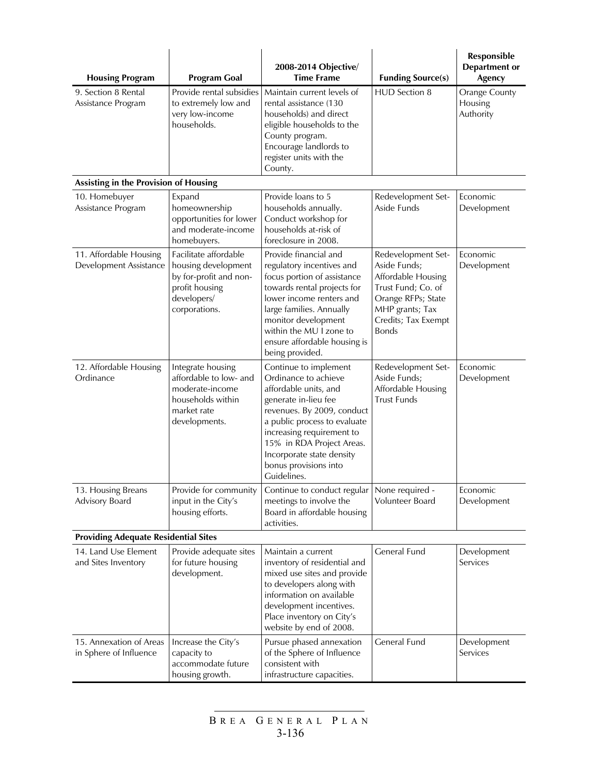| <b>Housing Program</b>                            | 2008-2014 Objective/<br><b>Time Frame</b><br><b>Program Goal</b>                                                         |                                                                                                                                                                                                                                                                                             | <b>Funding Source(s)</b>                                                                                                                                       | Responsible<br><b>Department or</b><br>Agency |  |
|---------------------------------------------------|--------------------------------------------------------------------------------------------------------------------------|---------------------------------------------------------------------------------------------------------------------------------------------------------------------------------------------------------------------------------------------------------------------------------------------|----------------------------------------------------------------------------------------------------------------------------------------------------------------|-----------------------------------------------|--|
| 9. Section 8 Rental<br>Assistance Program         | Provide rental subsidies<br>to extremely low and<br>very low-income<br>households.                                       | Maintain current levels of<br>rental assistance (130<br>households) and direct<br>eligible households to the<br>County program.<br>Encourage landlords to<br>register units with the<br>County.                                                                                             | <b>HUD</b> Section 8                                                                                                                                           | <b>Orange County</b><br>Housing<br>Authority  |  |
| Assisting in the Provision of Housing             |                                                                                                                          |                                                                                                                                                                                                                                                                                             |                                                                                                                                                                |                                               |  |
| 10. Homebuyer<br>Assistance Program               | Expand<br>homeownership<br>opportunities for lower<br>and moderate-income<br>homebuyers.                                 | Provide loans to 5<br>households annually.<br>Conduct workshop for<br>households at-risk of<br>foreclosure in 2008.                                                                                                                                                                         | Redevelopment Set-<br>Aside Funds                                                                                                                              | Economic<br>Development                       |  |
| 11. Affordable Housing<br>Development Assistance  | Facilitate affordable<br>housing development<br>by for-profit and non-<br>profit housing<br>developers/<br>corporations. | Provide financial and<br>regulatory incentives and<br>focus portion of assistance<br>towards rental projects for<br>lower income renters and<br>large families. Annually<br>monitor development<br>within the MU I zone to<br>ensure affordable housing is<br>being provided.               | Redevelopment Set-<br>Aside Funds;<br>Affordable Housing<br>Trust Fund; Co. of<br>Orange RFPs; State<br>MHP grants; Tax<br>Credits; Tax Exempt<br><b>Bonds</b> | Economic<br>Development                       |  |
| 12. Affordable Housing<br>Ordinance               | Integrate housing<br>affordable to low- and<br>moderate-income<br>households within<br>market rate<br>developments.      | Continue to implement<br>Ordinance to achieve<br>affordable units, and<br>generate in-lieu fee<br>revenues. By 2009, conduct<br>a public process to evaluate<br>increasing requirement to<br>15% in RDA Project Areas.<br>Incorporate state density<br>bonus provisions into<br>Guidelines. | Redevelopment Set-<br>Aside Funds;<br>Affordable Housing<br><b>Trust Funds</b>                                                                                 | Economic<br>Development                       |  |
| 13. Housing Breans<br>Advisory Board              | Provide for community<br>input in the City's<br>housing efforts.                                                         | Continue to conduct regular<br>meetings to involve the<br>Board in affordable housing<br>activities.                                                                                                                                                                                        | None required -<br>Volunteer Board                                                                                                                             | Economic<br>Development                       |  |
| <b>Providing Adequate Residential Sites</b>       |                                                                                                                          |                                                                                                                                                                                                                                                                                             |                                                                                                                                                                |                                               |  |
| 14. Land Use Element<br>and Sites Inventory       | Provide adequate sites<br>for future housing<br>development.                                                             | Maintain a current<br>inventory of residential and<br>mixed use sites and provide<br>to developers along with<br>information on available<br>development incentives.<br>Place inventory on City's<br>website by end of 2008.                                                                | General Fund                                                                                                                                                   | Development<br>Services                       |  |
| 15. Annexation of Areas<br>in Sphere of Influence | Increase the City's<br>capacity to<br>accommodate future<br>housing growth.                                              | Pursue phased annexation<br>of the Sphere of Influence<br>consistent with<br>infrastructure capacities.                                                                                                                                                                                     | <b>General Fund</b>                                                                                                                                            | Development<br>Services                       |  |